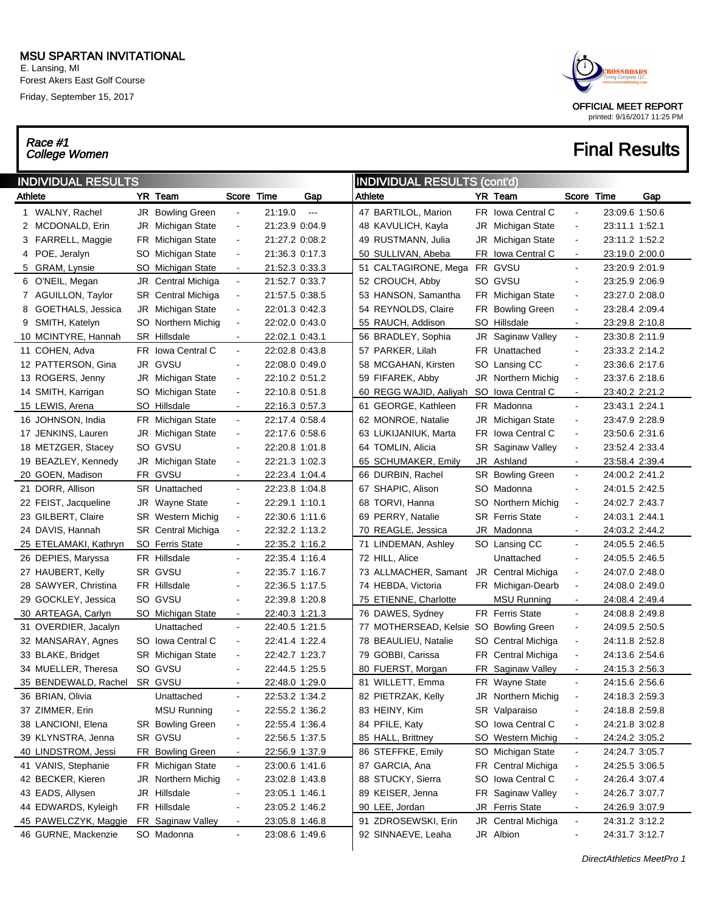E. Lansing, MI Forest Akers East Golf Course Friday, September 15, 2017

# Race #1<br>College Women



|         | <b>INDIVIDUAL RESULTS</b> |                           |                |                |               | <b>INDIVIDUAL RESULTS (cont'd)</b> |                          |     |                        |                              |                |     |
|---------|---------------------------|---------------------------|----------------|----------------|---------------|------------------------------------|--------------------------|-----|------------------------|------------------------------|----------------|-----|
| Athlete |                           | YR Team                   | Score          | Time           | Gap           | Athlete                            |                          |     | YR Team                | Score                        | Time           | Gap |
|         | 1 WALNY, Rachel           | JR Bowling Green          |                | 21:19.0        | $\sim$ $\sim$ |                                    | 47 BARTILOL, Marion      |     | FR Iowa Central C      | $\blacksquare$               | 23:09.6 1:50.6 |     |
| 2       | MCDONALD, Erin            | JR Michigan State         | $\blacksquare$ | 21:23.9 0:04.9 |               |                                    | 48 KAVULICH, Kayla       | JR  | Michigan State         | $\blacksquare$               | 23:11.1 1:52.1 |     |
|         | 3 FARRELL, Maggie         | FR Michigan State         | $\blacksquare$ | 21:27.2 0:08.2 |               |                                    | 49 RUSTMANN, Julia       | JR  | Michigan State         | $\blacksquare$               | 23:11.2 1:52.2 |     |
|         | 4 POE, Jeralyn            | SO Michigan State         | $\blacksquare$ | 21:36.3 0:17.3 |               |                                    | 50 SULLIVAN, Abeba       | FR  | Iowa Central C         | $\blacksquare$               | 23:19.0 2:00.0 |     |
|         | 5 GRAM, Lynsie            | SO Michigan State         | $\blacksquare$ | 21:52.3 0:33.3 |               |                                    | 51 CALTAGIRONE, Mega     |     | FR GVSU                | $\blacksquare$               | 23:20.9 2:01.9 |     |
|         | 6 O'NEIL, Megan           | JR Central Michiga        | $\Box$         | 21:52.7 0:33.7 |               |                                    | 52 CROUCH, Abby          |     | SO GVSU                | $\overline{\phantom{a}}$     | 23:25.9 2:06.9 |     |
|         | 7 AGUILLON, Taylor        | <b>SR</b> Central Michiga | $\blacksquare$ | 21:57.5 0:38.5 |               |                                    | 53 HANSON, Samantha      |     | FR Michigan State      | $\overline{\phantom{a}}$     | 23:27.0 2:08.0 |     |
| 8       | GOETHALS, Jessica         | JR Michigan State         | $\blacksquare$ | 22:01.3 0:42.3 |               |                                    | 54 REYNOLDS, Claire      | FR  | <b>Bowling Green</b>   | $\blacksquare$               | 23:28.4 2:09.4 |     |
| 9       | SMITH, Katelyn            | SO Northern Michig        | $\blacksquare$ | 22:02.0 0:43.0 |               |                                    | 55 RAUCH, Addison        | SO  | Hillsdale              | $\blacksquare$               | 23:29.8 2:10.8 |     |
|         | 10 MCINTYRE, Hannah       | SR Hillsdale              | $\blacksquare$ | 22:02.1 0:43.1 |               |                                    | 56 BRADLEY, Sophia       | JR  | Saginaw Valley         | $\blacksquare$               | 23:30.8 2:11.9 |     |
|         | 11 COHEN, Adva            | FR Iowa Central C         | $\blacksquare$ | 22:02.8 0:43.8 |               |                                    | 57 PARKER, Lilah         |     | FR Unattached          | $\blacksquare$               | 23:33.2 2:14.2 |     |
|         | 12 PATTERSON, Gina        | JR GVSU                   | $\blacksquare$ | 22:08.0 0:49.0 |               |                                    | 58 MCGAHAN, Kirsten      |     | SO Lansing CC          | $\overline{\phantom{a}}$     | 23:36.6 2:17.6 |     |
|         | 13 ROGERS, Jenny          | JR Michigan State         | $\blacksquare$ | 22:10.2 0:51.2 |               |                                    | 59 FIFAREK, Abby         |     | JR Northern Michig     | $\blacksquare$               | 23:37.6 2:18.6 |     |
|         | 14 SMITH, Karrigan        | SO Michigan State         | $\blacksquare$ | 22:10.8 0:51.8 |               |                                    | 60 REGG WAJID, Aaliyah   | SO. | Iowa Central C         | $\blacksquare$               | 23:40.2 2:21.2 |     |
|         | 15 LEWIS, Arena           | SO Hillsdale              | $\blacksquare$ | 22:16.3 0:57.3 |               |                                    | 61 GEORGE, Kathleen      |     | FR Madonna             | $\blacksquare$               | 23:43.1 2:24.1 |     |
|         | 16 JOHNSON, India         | FR Michigan State         | $\blacksquare$ | 22:17.4 0:58.4 |               |                                    | 62 MONROE, Natalie       |     | JR Michigan State      | $\blacksquare$               | 23:47.9 2:28.9 |     |
|         | 17 JENKINS, Lauren        | JR Michigan State         | $\blacksquare$ | 22:17.6 0:58.6 |               |                                    | 63 LUKIJANIUK, Marta     | FR. | Iowa Central C         | $\blacksquare$               | 23:50.6 2:31.6 |     |
|         | 18 METZGER, Stacey        | SO GVSU                   | $\blacksquare$ | 22:20.8 1:01.8 |               |                                    | 64 TOMLIN, Alicia        | SR. | Saginaw Valley         | $\blacksquare$               | 23:52.4 2:33.4 |     |
|         | 19 BEAZLEY, Kennedy       | JR Michigan State         | $\blacksquare$ | 22:21.3 1:02.3 |               |                                    | 65 SCHUMAKER, Emily      |     | JR Ashland             | $\blacksquare$               | 23:58.4 2:39.4 |     |
|         | 20 GOEN, Madison          | FR GVSU                   | $\blacksquare$ | 22:23.4 1:04.4 |               |                                    | 66 DURBIN, Rachel        |     | SR Bowling Green       | $\blacksquare$               | 24:00.2 2:41.2 |     |
|         | 21 DORR, Allison          | SR Unattached             | $\blacksquare$ | 22:23.8 1:04.8 |               |                                    | 67 SHAPIC, Alison        |     | SO Madonna             | $\blacksquare$               | 24:01.5 2:42.5 |     |
|         | 22 FEIST, Jacqueline      | JR Wayne State            | $\blacksquare$ | 22:29.1 1:10.1 |               |                                    | 68 TORVI, Hanna          | SO  | Northern Michig        | $\blacksquare$               | 24:02.7 2:43.7 |     |
|         | 23 GILBERT, Claire        | <b>SR</b> Western Michig  | $\blacksquare$ | 22:30.6 1:11.6 |               |                                    | 69 PERRY, Natalie        |     | <b>SR</b> Ferris State | $\overline{a}$               | 24:03.1 2:44.1 |     |
|         | 24 DAVIS, Hannah          | SR Central Michiga        | $\blacksquare$ | 22:32.2 1:13.2 |               |                                    | 70 REAGLE, Jessica       |     | JR Madonna             | $\blacksquare$               | 24:03.2 2:44.2 |     |
|         | 25 ETELAMAKI, Kathryn     | SO Ferris State           | $\blacksquare$ | 22:35.2 1:16.2 |               |                                    | 71 LINDEMAN, Ashley      |     | SO Lansing CC          | $\blacksquare$               | 24:05.5 2:46.5 |     |
|         | 26 DEPIES, Maryssa        | FR Hillsdale              | $\blacksquare$ | 22:35.4 1:16.4 |               |                                    | 72 HILL, Alice           |     | Unattached             | $\overline{a}$               | 24:05.5 2:46.5 |     |
|         | 27 HAUBERT, Kelly         | SR GVSU                   | $\blacksquare$ | 22:35.7 1:16.7 |               |                                    | 73 ALLMACHER, Samant     |     | JR Central Michiga     | $\overline{\phantom{a}}$     | 24:07.0 2:48.0 |     |
|         | 28 SAWYER, Christina      | FR Hillsdale              | $\blacksquare$ | 22:36.5 1:17.5 |               |                                    | 74 HEBDA, Victoria       |     | FR Michigan-Dearb      | $\blacksquare$               | 24:08.0 2:49.0 |     |
|         | 29 GOCKLEY, Jessica       | SO GVSU                   | $\blacksquare$ | 22:39.8 1:20.8 |               |                                    | 75 ETIENNE, Charlotte    |     | <b>MSU Running</b>     | $\blacksquare$               | 24:08.4 2:49.4 |     |
|         | 30 ARTEAGA, Carlyn        | SO_Michigan State         | $\blacksquare$ | 22:40.3 1:21.3 |               |                                    | 76 DAWES, Sydney         |     | <b>FR</b> Ferris State | $\blacksquare$               | 24:08.8 2:49.8 |     |
|         | 31 OVERDIER, Jacalyn      | Unattached                | $\blacksquare$ | 22:40.5 1:21.5 |               |                                    | 77 MOTHERSEAD, Kelsie SO |     | <b>Bowling Green</b>   | $\blacksquare$               | 24:09.5 2:50.5 |     |
|         | 32 MANSARAY, Agnes        | SO Iowa Central C         | $\blacksquare$ | 22:41.4 1:22.4 |               |                                    | 78 BEAULIEU, Natalie     | SO  | Central Michiga        | $\overline{\phantom{a}}$     | 24:11.8 2:52.8 |     |
|         | 33 BLAKE, Bridget         | SR Michigan State         | $\blacksquare$ | 22:42.7 1:23.7 |               |                                    | 79 GOBBI, Carissa        | FR  | Central Michiga        | $\blacksquare$               | 24:13.6 2:54.6 |     |
|         | 34 MUELLER, Theresa       | SO GVSU                   | $\blacksquare$ | 22:44.5 1:25.5 |               |                                    | 80 FUERST, Morgan        | FR  | Saginaw Valley         | $\blacksquare$               | 24:15.3 2:56.3 |     |
|         | 35 BENDEWALD, Rachel      | SR GVSU                   | $\blacksquare$ | 22:48.0 1:29.0 |               |                                    | 81 WILLETT, Emma         |     | FR Wayne State         | $\blacksquare$               | 24:15.6 2:56.6 |     |
|         | 36 BRIAN, Olivia          | Unattached                | $\blacksquare$ | 22:53.2 1:34.2 |               |                                    | 82 PIETRZAK, Kelly       |     | JR Northern Michig     | $\qquad \qquad \blacksquare$ | 24:18.3 2:59.3 |     |
|         | 37 ZIMMER, Erin           | <b>MSU Running</b>        | $\blacksquare$ | 22:55.2 1:36.2 |               |                                    | 83 HEINY, Kim            |     | SR Valparaiso          | $\blacksquare$               | 24:18.8 2:59.8 |     |
|         | 38 LANCIONI, Elena        | <b>SR</b> Bowling Green   | $\blacksquare$ | 22:55.4 1:36.4 |               |                                    | 84 PFILE, Katy           |     | SO Iowa Central C      | $\blacksquare$               | 24:21.8 3:02.8 |     |
|         | 39 KLYNSTRA, Jenna        | SR GVSU                   | $\blacksquare$ | 22:56.5 1:37.5 |               |                                    | 85 HALL, Brittney        |     | SO Western Michig      | $\blacksquare$               | 24:24.2 3:05.2 |     |
|         | 40 LINDSTROM, Jessi       | FR Bowling Green          | $\blacksquare$ | 22:56.9 1:37.9 |               |                                    | 86 STEFFKE, Emily        |     | SO Michigan State      | ÷                            | 24:24.7 3:05.7 |     |
|         | 41 VANIS, Stephanie       | FR Michigan State         | $\blacksquare$ | 23:00.6 1:41.6 |               |                                    | 87 GARCIA, Ana           |     | FR Central Michiga     | $\blacksquare$               | 24:25.5 3:06.5 |     |
|         | 42 BECKER, Kieren         | JR Northern Michig        | $\blacksquare$ | 23:02.8 1:43.8 |               |                                    | 88 STUCKY, Sierra        | SO  | Iowa Central C         | $\blacksquare$               | 24:26.4 3:07.4 |     |
|         | 43 EADS, Allysen          | JR Hillsdale              | $\blacksquare$ | 23:05.1 1:46.1 |               |                                    | 89 KEISER, Jenna         |     | FR Saginaw Valley      | $\qquad \qquad \blacksquare$ | 24:26.7 3:07.7 |     |
|         | 44 EDWARDS, Kyleigh       | FR Hillsdale              | $\blacksquare$ | 23:05.2 1:46.2 |               |                                    | 90 LEE, Jordan           |     | JR Ferris State        | $\blacksquare$               | 24:26.9 3:07.9 |     |
|         | 45 PAWELCZYK, Maggie      | FR Saginaw Valley         | $\blacksquare$ | 23:05.8 1:46.8 |               |                                    | 91 ZDROSEWSKI, Erin      |     | JR Central Michiga     | $\blacksquare$               | 24:31.2 3:12.2 |     |
|         | 46 GURNE, Mackenzie       | SO Madonna                | ٠              | 23:08.6 1:49.6 |               |                                    | 92 SINNAEVE, Leaha       |     | JR Albion              | -                            | 24:31.7 3:12.7 |     |
|         |                           |                           |                |                |               |                                    |                          |     |                        |                              |                |     |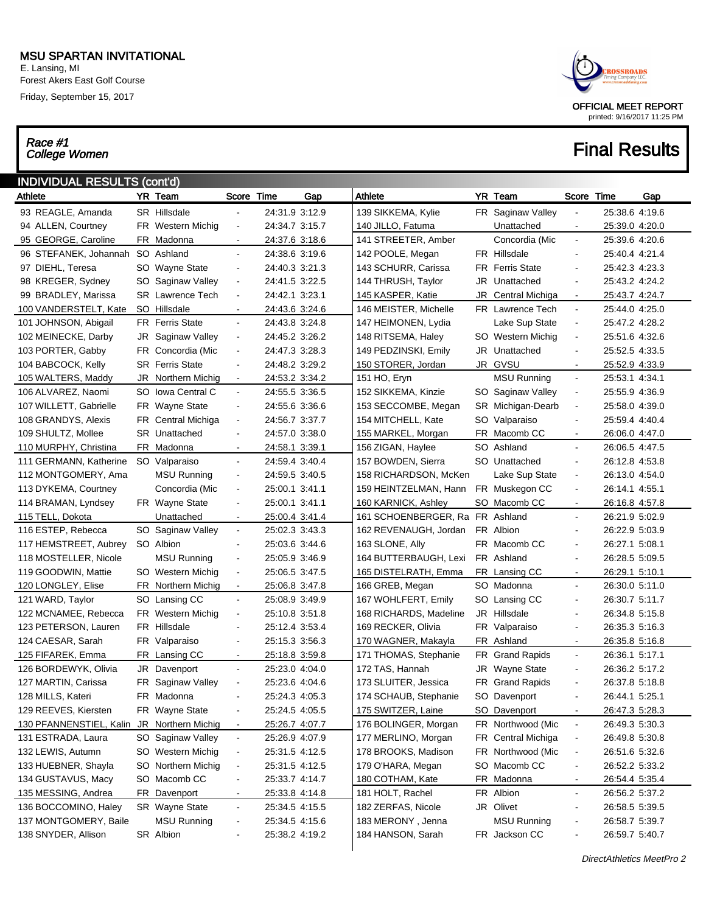E. Lansing, MI Forest Akers East Golf Course Friday, September 15, 2017

# Race #1<br>College Women



| <b>INDIVIDUAL RESULTS (cont'd)</b><br>YR Team<br>YR Team<br>Athlete<br>Score Time<br>Athlete<br>Score Time<br>Gap<br>Gap |  |                         |                          |                |  |                                 |    |                        |                              |                |  |  |  |
|--------------------------------------------------------------------------------------------------------------------------|--|-------------------------|--------------------------|----------------|--|---------------------------------|----|------------------------|------------------------------|----------------|--|--|--|
|                                                                                                                          |  |                         |                          |                |  |                                 |    |                        |                              |                |  |  |  |
| 93 REAGLE, Amanda                                                                                                        |  | SR Hillsdale            | $\blacksquare$           | 24:31.9 3:12.9 |  | 139 SIKKEMA, Kylie              |    | FR Saginaw Valley      | $\blacksquare$               | 25:38.6 4:19.6 |  |  |  |
| 94 ALLEN, Courtney                                                                                                       |  | FR Western Michig       | $\blacksquare$           | 24:34.7 3:15.7 |  | 140 JILLO, Fatuma               |    | Unattached             | $\blacksquare$               | 25:39.0 4:20.0 |  |  |  |
| 95 GEORGE, Caroline                                                                                                      |  | FR Madonna              | $\blacksquare$           | 24:37.6 3:18.6 |  | 141 STREETER, Amber             |    | Concordia (Mic         | $\blacksquare$               | 25:39.6 4:20.6 |  |  |  |
| 96 STEFANEK, Johannah SO Ashland                                                                                         |  |                         | $\blacksquare$           | 24:38.6 3:19.6 |  | 142 POOLE, Megan                |    | FR Hillsdale           | $\blacksquare$               | 25:40.4 4:21.4 |  |  |  |
| 97 DIEHL, Teresa                                                                                                         |  | SO Wayne State          | $\blacksquare$           | 24:40.3 3:21.3 |  | 143 SCHURR, Carissa             |    | <b>FR</b> Ferris State | $\blacksquare$               | 25:42.3 4:23.3 |  |  |  |
| 98 KREGER, Sydney                                                                                                        |  | SO Saginaw Valley       | $\blacksquare$           | 24:41.5 3:22.5 |  | 144 THRUSH, Taylor              |    | JR Unattached          | $\blacksquare$               | 25:43.2 4:24.2 |  |  |  |
| 99 BRADLEY, Marissa                                                                                                      |  | <b>SR</b> Lawrence Tech | $\blacksquare$           | 24:42.1 3:23.1 |  | 145 KASPER, Katie               | JR | Central Michiga        | $\blacksquare$               | 25:43.7 4:24.7 |  |  |  |
| 100 VANDERSTELT, Kate                                                                                                    |  | SO Hillsdale            | $\blacksquare$           | 24:43.6 3:24.6 |  | 146 MEISTER, Michelle           |    | FR Lawrence Tech       | $\blacksquare$               | 25:44.0 4:25.0 |  |  |  |
| 101 JOHNSON, Abigail                                                                                                     |  | <b>FR</b> Ferris State  | $\blacksquare$           | 24:43.8 3:24.8 |  | 147 HEIMONEN, Lydia             |    | Lake Sup State         | $\blacksquare$               | 25:47.2 4:28.2 |  |  |  |
| 102 MEINECKE, Darby                                                                                                      |  | JR Saginaw Valley       | $\blacksquare$           | 24:45.2 3:26.2 |  | 148 RITSEMA, Haley              |    | SO Western Michig      | $\blacksquare$               | 25:51.6 4:32.6 |  |  |  |
| 103 PORTER, Gabby                                                                                                        |  | FR Concordia (Mic       | $\blacksquare$           | 24:47.3 3:28.3 |  | 149 PEDZINSKI, Emily            |    | JR Unattached          | $\blacksquare$               | 25:52.5 4:33.5 |  |  |  |
| 104 BABCOCK, Kelly                                                                                                       |  | <b>SR</b> Ferris State  | $\blacksquare$           | 24:48.2 3:29.2 |  | 150 STORER, Jordan              |    | JR GVSU                | $\blacksquare$               | 25:52.9 4:33.9 |  |  |  |
| 105 WALTERS, Maddy                                                                                                       |  | JR Northern Michig      | $\blacksquare$           | 24:53.2 3:34.2 |  | 151 HO, Eryn                    |    | <b>MSU Running</b>     | $\blacksquare$               | 25:53.1 4:34.1 |  |  |  |
| 106 ALVAREZ, Naomi                                                                                                       |  | SO Iowa Central C       | $\blacksquare$           | 24:55.5 3:36.5 |  | 152 SIKKEMA, Kinzie             |    | SO Saginaw Valley      | $\blacksquare$               | 25:55.9 4:36.9 |  |  |  |
| 107 WILLETT, Gabrielle                                                                                                   |  | FR Wayne State          | $\blacksquare$           | 24:55.6 3:36.6 |  | 153 SECCOMBE, Megan             |    | SR Michigan-Dearb      | $\blacksquare$               | 25:58.0 4:39.0 |  |  |  |
| 108 GRANDYS, Alexis                                                                                                      |  | FR Central Michiga      | $\blacksquare$           | 24:56.7 3:37.7 |  | 154 MITCHELL, Kate              |    | SO Valparaiso          | $\blacksquare$               | 25:59.4 4:40.4 |  |  |  |
| 109 SHULTZ, Mollee                                                                                                       |  | <b>SR</b> Unattached    | $\blacksquare$           | 24:57.0 3:38.0 |  | 155 MARKEL, Morgan              |    | FR Macomb CC           | $\blacksquare$               | 26:06.0 4:47.0 |  |  |  |
| 110 MURPHY, Christina                                                                                                    |  | FR Madonna              | $\blacksquare$           | 24:58.1 3:39.1 |  | 156 ZIGAN, Haylee               |    | SO Ashland             | $\blacksquare$               | 26:06.5 4:47.5 |  |  |  |
| 111 GERMANN, Katherine                                                                                                   |  | SO Valparaiso           | $\blacksquare$           | 24:59.4 3:40.4 |  | 157 BOWDEN, Sierra              |    | SO Unattached          | $\blacksquare$               | 26:12.8 4:53.8 |  |  |  |
| 112 MONTGOMERY, Ama                                                                                                      |  | MSU Running             | $\blacksquare$           | 24:59.5 3:40.5 |  | 158 RICHARDSON, McKen           |    | Lake Sup State         | $\blacksquare$               | 26:13.0 4:54.0 |  |  |  |
| 113 DYKEMA, Courtney                                                                                                     |  | Concordia (Mic          | $\blacksquare$           | 25:00.1 3:41.1 |  | 159 HEINTZELMAN, Hann           |    | FR Muskegon CC         | $\blacksquare$               | 26:14.1 4:55.1 |  |  |  |
| 114 BRAMAN, Lyndsey                                                                                                      |  | FR Wayne State          | $\blacksquare$           | 25:00.1 3:41.1 |  | 160 KARNICK, Ashley             |    | SO Macomb CC           | $\blacksquare$               | 26:16.8 4:57.8 |  |  |  |
| 115 TELL, Dokota                                                                                                         |  | Unattached              | $\blacksquare$           | 25:00.4 3:41.4 |  | 161 SCHOENBERGER, Ra FR Ashland |    |                        | $\blacksquare$               | 26:21.9 5:02.9 |  |  |  |
| 116 ESTEP, Rebecca                                                                                                       |  | SO Saginaw Valley       | $\blacksquare$           | 25:02.3 3:43.3 |  | 162 REVENAUGH, Jordan           |    | FR Albion              | $\overline{\phantom{a}}$     | 26:22.9 5:03.9 |  |  |  |
| 117 HEMSTREET, Aubrey                                                                                                    |  | SO Albion               | $\blacksquare$           | 25:03.6 3:44.6 |  | 163 SLONE, Ally                 |    | FR Macomb CC           | $\blacksquare$               | 26:27.1 5:08.1 |  |  |  |
| 118 MOSTELLER, Nicole                                                                                                    |  | MSU Running             | $\blacksquare$           | 25:05.9 3:46.9 |  | 164 BUTTERBAUGH, Lexi           |    | FR Ashland             | $\blacksquare$               | 26:28.5 5:09.5 |  |  |  |
| 119 GOODWIN, Mattie                                                                                                      |  | SO Western Michig       | $\frac{1}{2}$            | 25:06.5 3:47.5 |  | 165 DISTELRATH, Emma            |    | FR Lansing CC          | $\blacksquare$               | 26:29.1 5:10.1 |  |  |  |
| 120 LONGLEY, Elise                                                                                                       |  | FR Northern Michig      | $\blacksquare$           | 25:06.8 3:47.8 |  | 166 GREB, Megan                 |    | SO Madonna             | $\blacksquare$               | 26:30.0 5:11.0 |  |  |  |
| 121 WARD, Taylor                                                                                                         |  | SO Lansing CC           | $\blacksquare$           | 25:08.9 3:49.9 |  | 167 WOHLFERT, Emily             |    | SO Lansing CC          | $\overline{\phantom{a}}$     | 26:30.7 5:11.7 |  |  |  |
| 122 MCNAMEE, Rebecca                                                                                                     |  | FR Western Michig       | $\blacksquare$           | 25:10.8 3:51.8 |  | 168 RICHARDS, Madeline          |    | JR Hillsdale           | $\overline{\phantom{a}}$     | 26:34.8 5:15.8 |  |  |  |
| 123 PETERSON, Lauren                                                                                                     |  | FR Hillsdale            | $\overline{\phantom{a}}$ | 25:12.4 3:53.4 |  | 169 RECKER, Olivia              |    | FR Valparaiso          | $\blacksquare$               | 26:35.3 5:16.3 |  |  |  |
| 124 CAESAR, Sarah                                                                                                        |  | FR Valparaiso           | $\blacksquare$           | 25:15.3 3:56.3 |  | 170 WAGNER, Makayla             |    | FR Ashland             | $\overline{\phantom{a}}$     | 26:35.8 5:16.8 |  |  |  |
| 125 FIFAREK, Emma                                                                                                        |  | FR Lansing CC           | $\blacksquare$           | 25:18.8 3:59.8 |  | 171 THOMAS, Stephanie           |    | FR Grand Rapids        | $\blacksquare$               | 26:36.1 5:17.1 |  |  |  |
| 126 BORDEWYK, Olivia                                                                                                     |  | JR Davenport            | $\blacksquare$           | 25:23.0 4:04.0 |  | 172 TAS, Hannah                 |    | JR Wayne State         | $\overline{\phantom{a}}$     | 26:36.2 5:17.2 |  |  |  |
| 127 MARTIN, Carissa                                                                                                      |  | FR Saginaw Valley       | $\frac{1}{2}$            | 25:23.6 4:04.6 |  | 173 SLUITER, Jessica            |    | FR Grand Rapids        | $\overline{\phantom{a}}$     | 26:37.8 5:18.8 |  |  |  |
| 128 MILLS, Kateri                                                                                                        |  | FR Madonna              | $\frac{1}{2}$            | 25:24.3 4:05.3 |  | 174 SCHAUB, Stephanie           |    | SO Davenport           | $\blacksquare$               | 26:44.1 5:25.1 |  |  |  |
| 129 REEVES, Kiersten                                                                                                     |  | FR Wayne State          | ۰                        | 25:24.5 4:05.5 |  | 175 SWITZER, Laine              |    | SO Davenport           | $\blacksquare$               | 26:47.3 5:28.3 |  |  |  |
| 130 PFANNENSTIEL, Kalin JR Northern Michig                                                                               |  |                         | $\blacksquare$           | 25:26.7 4:07.7 |  | 176 BOLINGER, Morgan            |    | FR Northwood (Mic      | $\blacksquare$               | 26:49.3 5:30.3 |  |  |  |
| 131 ESTRADA, Laura                                                                                                       |  | SO Saginaw Valley       | $\blacksquare$           | 25:26.9 4:07.9 |  | 177 MERLINO, Morgan             |    | FR Central Michiga     | $\blacksquare$               | 26:49.8 5:30.8 |  |  |  |
| 132 LEWIS, Autumn                                                                                                        |  | SO Western Michig       | ۰                        | 25:31.5 4:12.5 |  | 178 BROOKS, Madison             |    | FR Northwood (Mic      | $\blacksquare$               | 26:51.6 5:32.6 |  |  |  |
| 133 HUEBNER, Shayla                                                                                                      |  | SO Northern Michig      | $\blacksquare$           | 25:31.5 4:12.5 |  | 179 O'HARA, Megan               |    | SO Macomb CC           | $\qquad \qquad \blacksquare$ | 26:52.2 5:33.2 |  |  |  |
| 134 GUSTAVUS, Macy                                                                                                       |  | SO Macomb CC            | $\frac{1}{2}$            | 25:33.7 4:14.7 |  | 180 COTHAM, Kate                |    | FR Madonna             | $\blacksquare$               | 26:54.4 5:35.4 |  |  |  |
| 135 MESSING, Andrea                                                                                                      |  | FR Davenport            | $\blacksquare$           | 25:33.8 4:14.8 |  | 181 HOLT, Rachel                |    | FR Albion              | $\blacksquare$               | 26:56.2 5:37.2 |  |  |  |
| 136 BOCCOMINO, Haley                                                                                                     |  | SR Wayne State          | $\blacksquare$           | 25:34.5 4:15.5 |  | 182 ZERFAS, Nicole              |    | JR Olivet              | $\overline{a}$               | 26:58.5 5:39.5 |  |  |  |
| 137 MONTGOMERY, Baile                                                                                                    |  | <b>MSU Running</b>      | $\blacksquare$           | 25:34.5 4:15.6 |  | 183 MERONY, Jenna               |    | <b>MSU Running</b>     | $\qquad \qquad \blacksquare$ | 26:58.7 5:39.7 |  |  |  |
| 138 SNYDER, Allison                                                                                                      |  | SR Albion               | -                        | 25:38.2 4:19.2 |  | 184 HANSON, Sarah               |    | FR Jackson CC          | $\qquad \qquad \blacksquare$ | 26:59.7 5:40.7 |  |  |  |
|                                                                                                                          |  |                         |                          |                |  |                                 |    |                        |                              |                |  |  |  |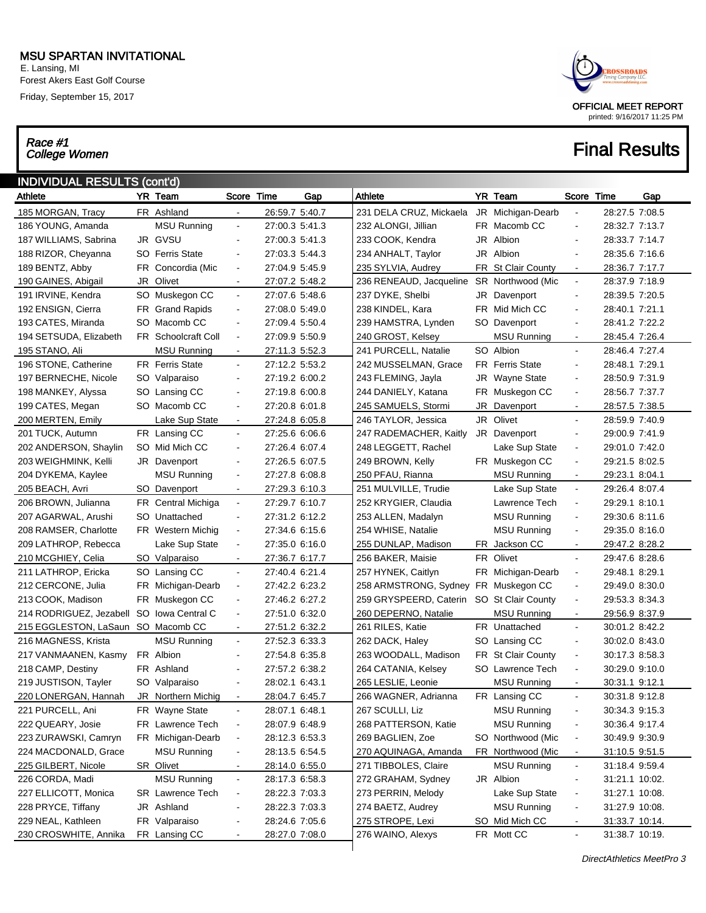E. Lansing, MI Forest Akers East Golf Course Friday, September 15, 2017

# Race #1<br>College Women



| <b>INDIVIDUAL RESULTS (cont'd)</b><br>YR Team<br>Score Time<br>Athlete<br>YR Team<br>Score Time<br>Gap<br>Gap |    |                         |                          |                |  |                                      |  |                        |                          |                |  |  |  |
|---------------------------------------------------------------------------------------------------------------|----|-------------------------|--------------------------|----------------|--|--------------------------------------|--|------------------------|--------------------------|----------------|--|--|--|
| Athlete                                                                                                       |    |                         |                          |                |  |                                      |  |                        |                          |                |  |  |  |
| 185 MORGAN, Tracy                                                                                             |    | FR Ashland              |                          | 26:59.7 5:40.7 |  | 231 DELA CRUZ, Mickaela              |  | JR Michigan-Dearb      |                          | 28:27.5 7:08.5 |  |  |  |
| 186 YOUNG, Amanda                                                                                             |    | <b>MSU Running</b>      | $\blacksquare$           | 27:00.3 5:41.3 |  | 232 ALONGI, Jillian                  |  | FR Macomb CC           |                          | 28:32.7 7:13.7 |  |  |  |
| 187 WILLIAMS, Sabrina                                                                                         |    | JR GVSU                 | $\overline{\phantom{a}}$ | 27:00.3 5:41.3 |  | 233 COOK, Kendra                     |  | JR Albion              | $\overline{\phantom{a}}$ | 28:33.7 7:14.7 |  |  |  |
| 188 RIZOR, Cheyanna                                                                                           |    | <b>SO</b> Ferris State  | $\blacksquare$           | 27:03.3 5:44.3 |  | 234 ANHALT, Taylor                   |  | JR Albion              | $\blacksquare$           | 28:35.6 7:16.6 |  |  |  |
| 189 BENTZ, Abby                                                                                               |    | FR Concordia (Mic       | $\blacksquare$           | 27:04.9 5:45.9 |  | 235 SYLVIA, Audrey                   |  | FR St Clair County     | $\blacksquare$           | 28:36.7 7:17.7 |  |  |  |
| 190 GAINES, Abigail                                                                                           | JR | Olivet                  | $\blacksquare$           | 27:07.2 5:48.2 |  | 236 RENEAUD, Jacqueline              |  | SR Northwood (Mic      | $\blacksquare$           | 28:37.9 7:18.9 |  |  |  |
| 191 IRVINE, Kendra                                                                                            |    | SO Muskegon CC          | $\blacksquare$           | 27:07.6 5:48.6 |  | 237 DYKE, Shelbi                     |  | JR Davenport           | $\blacksquare$           | 28:39.5 7:20.5 |  |  |  |
| 192 ENSIGN, Cierra                                                                                            |    | FR Grand Rapids         | $\blacksquare$           | 27:08.0 5:49.0 |  | 238 KINDEL, Kara                     |  | FR Mid Mich CC         |                          | 28:40.1 7:21.1 |  |  |  |
| 193 CATES, Miranda                                                                                            |    | SO Macomb CC            | $\blacksquare$           | 27:09.4 5:50.4 |  | 239 HAMSTRA, Lynden                  |  | SO Davenport           | $\blacksquare$           | 28:41.2 7:22.2 |  |  |  |
| 194 SETSUDA, Elizabeth                                                                                        |    | FR Schoolcraft Coll     | $\blacksquare$           | 27:09.9 5:50.9 |  | 240 GROST, Kelsey                    |  | <b>MSU Running</b>     | $\blacksquare$           | 28:45.4 7:26.4 |  |  |  |
| 195 STANO, Ali                                                                                                |    | MSU Running             | $\blacksquare$           | 27:11.3 5:52.3 |  | 241 PURCELL, Natalie                 |  | SO Albion              | $\sim$                   | 28:46.4 7:27.4 |  |  |  |
| 196 STONE, Catherine                                                                                          |    | <b>FR</b> Ferris State  | $\blacksquare$           | 27:12.2 5:53.2 |  | 242 MUSSELMAN, Grace                 |  | <b>FR</b> Ferris State | $\overline{\phantom{a}}$ | 28:48.1 7:29.1 |  |  |  |
| 197 BERNECHE, Nicole                                                                                          |    | SO Valparaiso           | $\blacksquare$           | 27:19.2 6:00.2 |  | 243 FLEMING, Jayla                   |  | JR Wayne State         | $\overline{\phantom{a}}$ | 28:50.9 7:31.9 |  |  |  |
| 198 MANKEY, Alyssa                                                                                            |    | SO Lansing CC           | $\blacksquare$           | 27:19.8 6:00.8 |  | 244 DANIELY, Katana                  |  | FR Muskegon CC         | $\blacksquare$           | 28:56.7 7:37.7 |  |  |  |
| 199 CATES, Megan                                                                                              |    | SO Macomb CC            | $\blacksquare$           | 27:20.8 6:01.8 |  | 245 SAMUELS, Stormi                  |  | JR Davenport           | $\blacksquare$           | 28:57.5 7:38.5 |  |  |  |
| 200 MERTEN, Emily                                                                                             |    | Lake Sup State          | $\blacksquare$           | 27:24.8 6:05.8 |  | 246 TAYLOR, Jessica                  |  | JR Olivet              | $\blacksquare$           | 28:59.9 7:40.9 |  |  |  |
| 201 TUCK, Autumn                                                                                              |    | FR Lansing CC           | $\blacksquare$           | 27:25.6 6:06.6 |  | 247 RADEMACHER, Kaitly               |  | JR Davenport           | $\blacksquare$           | 29:00.9 7:41.9 |  |  |  |
| 202 ANDERSON, Shaylin                                                                                         |    | SO Mid Mich CC          | $\blacksquare$           | 27:26.4 6:07.4 |  | 248 LEGGETT, Rachel                  |  | Lake Sup State         | $\blacksquare$           | 29:01.0 7:42.0 |  |  |  |
| 203 WEIGHMINK, Kelli                                                                                          |    | JR Davenport            | $\blacksquare$           | 27:26.5 6:07.5 |  | 249 BROWN, Kelly                     |  | FR Muskegon CC         | $\blacksquare$           | 29:21.5 8:02.5 |  |  |  |
| 204 DYKEMA, Kaylee                                                                                            |    | <b>MSU Running</b>      | $\blacksquare$           | 27:27.8 6:08.8 |  | 250 PFAU, Rianna                     |  | <b>MSU Running</b>     | $\blacksquare$           | 29:23.1 8:04.1 |  |  |  |
| 205 BEACH, Avri                                                                                               |    | SO Davenport            | $\blacksquare$           | 27:29.3 6:10.3 |  | 251 MULVILLE, Trudie                 |  | Lake Sup State         | $\blacksquare$           | 29:26.4 8:07.4 |  |  |  |
| 206 BROWN, Julianna                                                                                           |    | FR Central Michiga      | $\blacksquare$           | 27:29.7 6:10.7 |  | 252 KRYGIER, Claudia                 |  | Lawrence Tech          | $\blacksquare$           | 29:29.1 8:10.1 |  |  |  |
| 207 AGARWAL, Arushi                                                                                           |    | SO Unattached           | $\blacksquare$           | 27:31.2 6:12.2 |  | 253 ALLEN, Madalyn                   |  | <b>MSU Running</b>     | $\blacksquare$           | 29:30.6 8:11.6 |  |  |  |
| 208 RAMSER, Charlotte                                                                                         |    | FR Western Michig       | $\blacksquare$           | 27:34.6 6:15.6 |  | 254 WHISE, Natalie                   |  | <b>MSU Running</b>     | $\blacksquare$           | 29:35.0 8:16.0 |  |  |  |
| 209 LATHROP, Rebecca                                                                                          |    | Lake Sup State          | $\blacksquare$           | 27:35.0 6:16.0 |  | 255 DUNLAP, Madison                  |  | FR Jackson CC          | $\blacksquare$           | 29:47.2 8:28.2 |  |  |  |
| 210 MCGHIEY, Celia                                                                                            |    | SO Valparaiso           | $\overline{\phantom{a}}$ | 27:36.7 6:17.7 |  | 256 BAKER, Maisie                    |  | FR Olivet              | $\blacksquare$           | 29:47.6 8:28.6 |  |  |  |
| 211 LATHROP, Ericka                                                                                           |    | SO Lansing CC           | $\blacksquare$           | 27:40.4 6:21.4 |  | 257 HYNEK, Caitlyn                   |  | FR Michigan-Dearb      | $\ddot{\phantom{0}}$     | 29:48.1 8:29.1 |  |  |  |
| 212 CERCONE, Julia                                                                                            |    | FR Michigan-Dearb       | $\blacksquare$           | 27:42.2 6:23.2 |  | 258 ARMSTRONG, Sydney FR Muskegon CC |  |                        | $\blacksquare$           | 29:49.0 8:30.0 |  |  |  |
| 213 COOK, Madison                                                                                             |    | FR Muskegon CC          | $\blacksquare$           | 27:46.2 6:27.2 |  | 259 GRYSPEERD, Caterin               |  | SO St Clair County     | $\ddot{\phantom{0}}$     | 29:53.3 8:34.3 |  |  |  |
| 214 RODRIGUEZ, Jezabell SO Iowa Central C                                                                     |    |                         | $\blacksquare$           | 27:51.0 6:32.0 |  | 260 DEPERNO, Natalie                 |  | MSU Running            | $\blacksquare$           | 29:56.9 8:37.9 |  |  |  |
| 215 EGGLESTON, LaSaun SO Macomb CC                                                                            |    |                         | $\blacksquare$           | 27:51.2 6:32.2 |  | 261 RILES, Katie                     |  | FR Unattached          | $\blacksquare$           | 30:01.2 8:42.2 |  |  |  |
| 216 MAGNESS, Krista                                                                                           |    | <b>MSU Running</b>      | $\blacksquare$           | 27:52.3 6:33.3 |  | 262 DACK, Haley                      |  | SO Lansing CC          | $\ddot{\phantom{0}}$     | 30:02.0 8:43.0 |  |  |  |
| 217 VANMAANEN, Kasmy                                                                                          |    | FR Albion               | $\blacksquare$           | 27:54.8 6:35.8 |  | 263 WOODALL, Madison                 |  | FR St Clair County     | $\ddot{\phantom{0}}$     | 30:17.3 8:58.3 |  |  |  |
| 218 CAMP, Destiny                                                                                             |    | FR Ashland              | $\blacksquare$           | 27:57.2 6:38.2 |  | 264 CATANIA, Kelsey                  |  | SO Lawrence Tech       | $\ddot{\phantom{0}}$     | 30:29.0 9:10.0 |  |  |  |
| 219 JUSTISON, Tayler                                                                                          |    | SO Valparaiso           | $\overline{\phantom{a}}$ | 28:02.1 6:43.1 |  | 265 LESLIE, Leonie                   |  | <b>MSU Running</b>     |                          | 30:31.1 9:12.1 |  |  |  |
| 220 LONERGAN, Hannah                                                                                          |    | JR Northern Michig      | $\blacksquare$           | 28:04.7 6:45.7 |  | 266 WAGNER, Adrianna                 |  | FR Lansing CC          | $\blacksquare$           | 30:31.8 9:12.8 |  |  |  |
| 221 PURCELL, Ani                                                                                              |    | FR Wayne State          | $\blacksquare$           | 28:07.1 6:48.1 |  | 267 SCULLI, Liz                      |  | <b>MSU Running</b>     |                          | 30:34.3 9:15.3 |  |  |  |
| 222 QUEARY, Josie                                                                                             |    | FR Lawrence Tech        | ۰                        | 28:07.9 6:48.9 |  | 268 PATTERSON, Katie                 |  | <b>MSU Running</b>     | ٠                        | 30:36.4 9:17.4 |  |  |  |
| 223 ZURAWSKI, Camryn                                                                                          |    | FR Michigan-Dearb       | $\overline{\phantom{a}}$ | 28:12.3 6:53.3 |  | 269 BAGLIEN, Zoe                     |  | SO Northwood (Mic      | $\overline{\phantom{a}}$ | 30:49.9 9:30.9 |  |  |  |
| 224 MACDONALD, Grace                                                                                          |    | MSU Running             | $\overline{\phantom{0}}$ | 28:13.5 6:54.5 |  | 270 AQUINAGA, Amanda                 |  | FR Northwood (Mic      | $\blacksquare$           | 31:10.5 9:51.5 |  |  |  |
| 225 GILBERT, Nicole                                                                                           |    | SR Olivet               | $\overline{\phantom{a}}$ | 28:14.0 6:55.0 |  | 271 TIBBOLES, Claire                 |  | <b>MSU Running</b>     | $\blacksquare$           | 31:18.4 9:59.4 |  |  |  |
| 226 CORDA, Madi                                                                                               |    | <b>MSU Running</b>      | $\blacksquare$           | 28:17.3 6:58.3 |  | 272 GRAHAM, Sydney                   |  | JR Albion              | $\overline{a}$           | 31:21.1 10:02. |  |  |  |
| 227 ELLICOTT, Monica                                                                                          |    | <b>SR</b> Lawrence Tech | ۰                        | 28:22.3 7:03.3 |  | 273 PERRIN, Melody                   |  | Lake Sup State         | $\overline{\phantom{a}}$ | 31:27.1 10:08. |  |  |  |
| 228 PRYCE, Tiffany                                                                                            |    | JR Ashland              | $\blacksquare$           | 28:22.3 7:03.3 |  | 274 BAETZ, Audrey                    |  | <b>MSU Running</b>     | $\blacksquare$           | 31:27.9 10:08. |  |  |  |
| 229 NEAL, Kathleen                                                                                            |    | FR Valparaiso           | -                        | 28:24.6 7:05.6 |  | 275 STROPE, Lexi                     |  | SO Mid Mich CC         | -                        | 31:33.7 10:14. |  |  |  |
| 230 CROSWHITE, Annika                                                                                         |    | FR Lansing CC           | ۰                        | 28:27.0 7:08.0 |  | 276 WAINO, Alexys                    |  | FR Mott CC             | $\frac{1}{2}$            | 31:38.7 10:19. |  |  |  |
|                                                                                                               |    |                         |                          |                |  |                                      |  |                        |                          |                |  |  |  |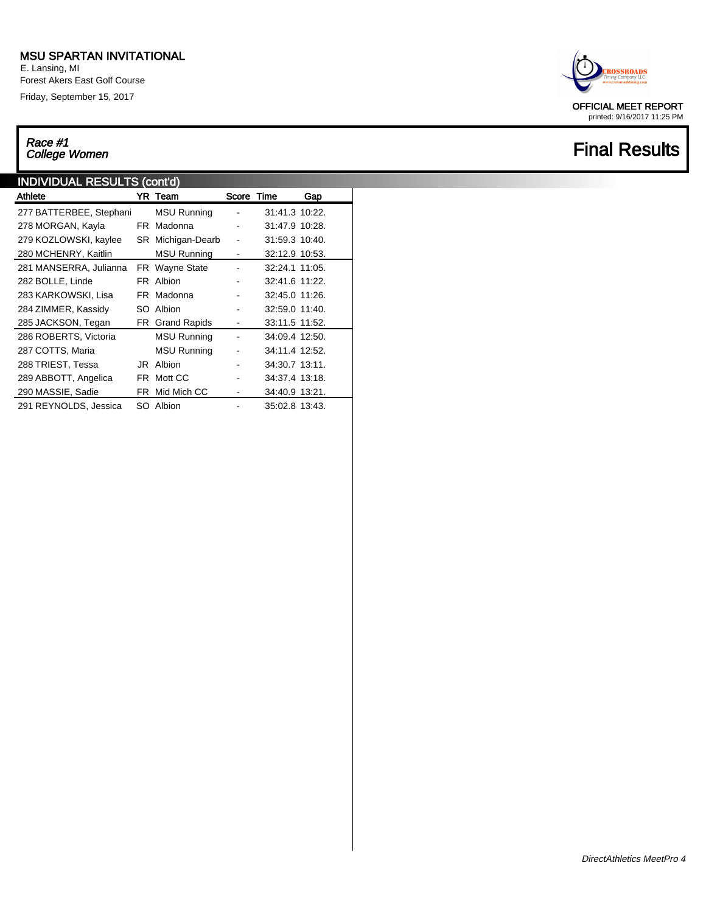E. Lansing, MI Forest Akers East Golf Course Friday, September 15, 2017

# Race #1<br>College Women

#### INDIVIDUAL RESULTS (cont'd)

| Athlete                 |     | YR Team            | Score Time |                | Gap |
|-------------------------|-----|--------------------|------------|----------------|-----|
| 277 BATTERBEE, Stephani |     | <b>MSU Running</b> |            | 31:41.3 10:22. |     |
| 278 MORGAN, Kayla       |     | FR Madonna         |            | 31:47.9 10:28. |     |
| 279 KOZLOWSKI, kaylee   |     | SR Michigan-Dearb  |            | 31:59.3 10:40. |     |
| 280 MCHENRY, Kaitlin    |     | <b>MSU Running</b> | -          | 32:12.9 10:53. |     |
| 281 MANSERRA, Julianna  |     | FR Wayne State     |            | 32:24.1 11:05. |     |
| 282 BOLLE, Linde        |     | FR Albion          |            | 32:41.6 11:22. |     |
| 283 KARKOWSKI, Lisa     |     | FR Madonna         |            | 32:45.0 11:26. |     |
| 284 ZIMMER, Kassidy     | SO. | Albion             |            | 32:59.0 11:40. |     |
| 285 JACKSON, Tegan      |     | FR Grand Rapids    | -          | 33:11.5 11:52. |     |
| 286 ROBERTS, Victoria   |     | <b>MSU Running</b> |            | 34:09.4 12:50. |     |
| 287 COTTS, Maria        |     | <b>MSU Running</b> |            | 34:11.4 12:52. |     |
| 288 TRIEST, Tessa       | JR  | Albion             |            | 34:30.7 13:11. |     |
| 289 ABBOTT, Angelica    |     | FR Mott CC         |            | 34:37.4 13:18. |     |
| 290 MASSIE, Sadie       | FR  | Mid Mich CC        |            | 34:40.9 13:21. |     |
| 291 REYNOLDS, Jessica   |     | SO Albion          |            | 35:02.8 13:43. |     |

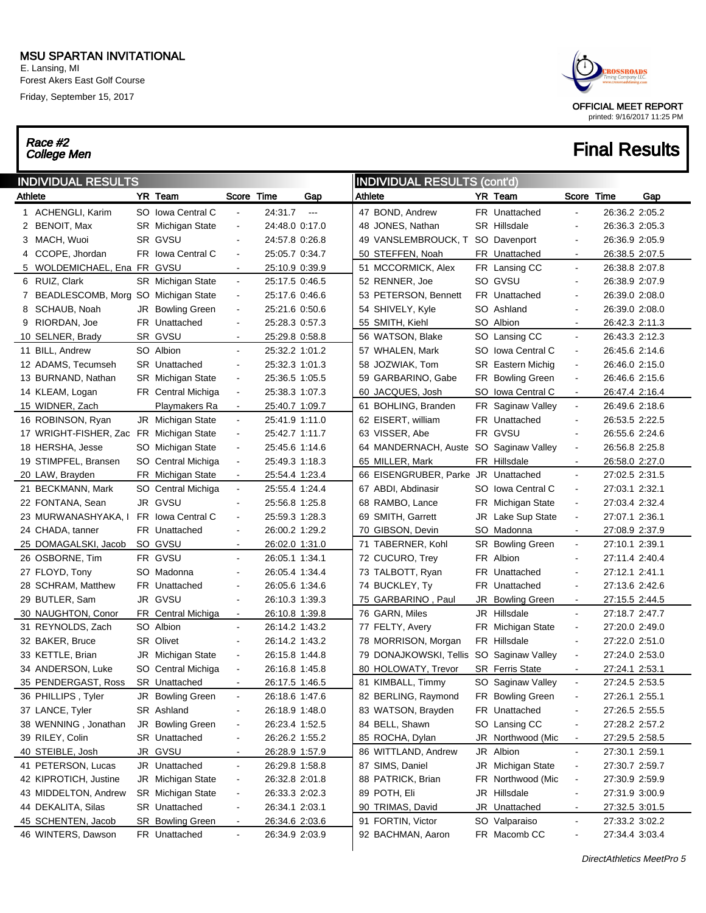E. Lansing, MI Forest Akers East Golf Course Friday, September 15, 2017

# Race #2<br>College Men



|         | <b>INDIVIDUAL RESULTS</b><br><b>INDIVIDUAL RESULTS (cont'd)</b> |  |                         |                          |                |               |                                          |     |                        |                              |                |     |  |
|---------|-----------------------------------------------------------------|--|-------------------------|--------------------------|----------------|---------------|------------------------------------------|-----|------------------------|------------------------------|----------------|-----|--|
| Athlete |                                                                 |  | YR Team                 | Score Time               |                | Gap           | Athlete                                  |     | YR Team                | Score Time                   |                | Gap |  |
|         | 1 ACHENGLI, Karim                                               |  | SO Iowa Central C       | $\blacksquare$           | 24:31.7        | $\sim$ $\sim$ | 47 BOND, Andrew                          |     | FR Unattached          | $\blacksquare$               | 26:36.2 2:05.2 |     |  |
|         | 2 BENOIT, Max                                                   |  | SR Michigan State       | $\blacksquare$           | 24:48.0 0:17.0 |               | 48 JONES, Nathan                         |     | SR Hillsdale           | $\blacksquare$               | 26:36.3 2:05.3 |     |  |
|         | 3 MACH, Wuoi                                                    |  | SR GVSU                 | $\blacksquare$           | 24:57.8 0:26.8 |               | 49 VANSLEMBROUCK, T                      |     | SO Davenport           | $\blacksquare$               | 26:36.9 2:05.9 |     |  |
|         | 4 CCOPE, Jhordan                                                |  | FR Iowa Central C       | $\blacksquare$           | 25:05.7 0:34.7 |               | 50 STEFFEN, Noah                         |     | FR Unattached          | $\overline{\phantom{a}}$     | 26:38.5 2:07.5 |     |  |
|         | 5 WOLDEMICHAEL, Ena FR GVSU                                     |  |                         | $\blacksquare$           | 25:10.9 0:39.9 |               | 51 MCCORMICK, Alex                       |     | FR Lansing CC          | $\blacksquare$               | 26:38.8 2:07.8 |     |  |
|         | 6 RUIZ, Clark                                                   |  | SR Michigan State       | $\blacksquare$           | 25:17.5 0:46.5 |               | 52 RENNER, Joe                           |     | SO GVSU                | $\blacksquare$               | 26:38.9 2:07.9 |     |  |
|         | 7 BEADLESCOMB, Morg SO Michigan State                           |  |                         | $\blacksquare$           | 25:17.6 0:46.6 |               | 53 PETERSON, Bennett                     |     | FR Unattached          | $\blacksquare$               | 26:39.0 2:08.0 |     |  |
| 8       | SCHAUB, Noah                                                    |  | JR Bowling Green        | $\blacksquare$           | 25:21.6 0:50.6 |               | 54 SHIVELY, Kyle                         |     | SO Ashland             | $\blacksquare$               | 26:39.0 2:08.0 |     |  |
|         | 9 RIORDAN, Joe                                                  |  | <b>FR</b> Unattached    | $\blacksquare$           | 25:28.3 0:57.3 |               | 55 SMITH, Kiehl                          |     | SO Albion              | $\sim$                       | 26:42.3 2:11.3 |     |  |
|         | 10 SELNER, Brady                                                |  | SR GVSU                 | $\blacksquare$           | 25:29.8 0:58.8 |               | 56 WATSON, Blake                         |     | SO Lansing CC          | $\blacksquare$               | 26:43.3 2:12.3 |     |  |
|         | 11 BILL, Andrew                                                 |  | SO Albion               | $\blacksquare$           | 25:32.2 1:01.2 |               | 57 WHALEN, Mark                          |     | SO Iowa Central C      | $\blacksquare$               | 26:45.6 2:14.6 |     |  |
|         | 12 ADAMS, Tecumseh                                              |  | SR Unattached           | $\blacksquare$           | 25:32.3 1:01.3 |               | 58 JOZWIAK, Tom                          |     | SR Eastern Michig      | $\blacksquare$               | 26:46.0 2:15.0 |     |  |
|         | 13 BURNAND, Nathan                                              |  | SR Michigan State       | $\blacksquare$           | 25:36.5 1:05.5 |               | 59 GARBARINO, Gabe                       |     | FR Bowling Green       | $\blacksquare$               | 26:46.6 2:15.6 |     |  |
|         | 14 KLEAM, Logan                                                 |  | FR Central Michiga      | $\overline{\phantom{a}}$ | 25:38.3 1:07.3 |               | 60 JACQUES, Josh                         | SO. | Iowa Central C         | $\sim$                       | 26:47.4 2:16.4 |     |  |
|         | 15 WIDNER, Zach                                                 |  | Playmakers Ra           | $\blacksquare$           | 25:40.7 1:09.7 |               | 61 BOHLING, Branden                      |     | FR Saginaw Valley      | $\blacksquare$               | 26:49.6 2:18.6 |     |  |
|         | 16 ROBINSON, Ryan                                               |  | JR Michigan State       | $\blacksquare$           | 25:41.9 1:11.0 |               | 62 EISERT, william                       |     | FR Unattached          | $\overline{\phantom{a}}$     | 26:53.5 2:22.5 |     |  |
|         | 17 WRIGHT-FISHER, Zac FR Michigan State                         |  |                         | $\blacksquare$           | 25:42.7 1:11.7 |               | 63 VISSER, Abe                           |     | FR GVSU                | $\overline{\phantom{a}}$     | 26:55.6 2:24.6 |     |  |
|         | 18 HERSHA, Jesse                                                |  | SO Michigan State       | $\blacksquare$           | 25:45.6 1:14.6 |               | 64 MANDERNACH, Auste SO Saginaw Valley   |     |                        | $\blacksquare$               | 26:56.8 2:25.8 |     |  |
|         | 19 STIMPFEL, Bransen                                            |  | SO Central Michiga      | $\blacksquare$           | 25:49.3 1:18.3 |               | 65 MILLER, Mark                          |     | FR Hillsdale           | $\overline{\phantom{a}}$     | 26:58.0 2:27.0 |     |  |
|         | 20 LAW, Brayden                                                 |  | FR Michigan State       | $\blacksquare$           | 25:54.4 1:23.4 |               | 66 EISENGRUBER, Parke JR Unattached      |     |                        | $\blacksquare$               | 27:02.5 2:31.5 |     |  |
|         | 21 BECKMANN, Mark                                               |  | SO Central Michiga      | $\blacksquare$           | 25:55.4 1:24.4 |               | 67 ABDI, Abdinasir                       |     | SO Iowa Central C      | $\blacksquare$               | 27:03.1 2:32.1 |     |  |
|         | 22 FONTANA, Sean                                                |  | JR GVSU                 | $\blacksquare$           | 25:56.8 1:25.8 |               | 68 RAMBO, Lance                          |     | FR Michigan State      | $\blacksquare$               | 27:03.4 2:32.4 |     |  |
|         | 23 MURWANASHYAKA, I                                             |  | FR Iowa Central C       | $\blacksquare$           | 25:59.3 1:28.3 |               | 69 SMITH, Garrett                        |     | JR Lake Sup State      | $\blacksquare$               | 27:07.1 2:36.1 |     |  |
|         | 24 CHADA, tanner                                                |  | <b>FR</b> Unattached    | $\blacksquare$           | 26:00.2 1:29.2 |               | 70 GIBSON, Devin                         |     | SO Madonna             | $\blacksquare$               | 27:08.9 2:37.9 |     |  |
|         | 25 DOMAGALSKI, Jacob                                            |  | SO GVSU                 | $\blacksquare$           | 26:02.0 1:31.0 |               | 71 TABERNER, Kohl                        |     | SR Bowling Green       | $\blacksquare$               | 27:10.1 2:39.1 |     |  |
|         | 26 OSBORNE, Tim                                                 |  | FR GVSU                 | $\blacksquare$           | 26:05.1 1:34.1 |               | 72 CUCURO, Trey                          |     | FR Albion              | $\blacksquare$               | 27:11.4 2:40.4 |     |  |
|         | 27 FLOYD, Tony                                                  |  | SO Madonna              | $\overline{\phantom{a}}$ | 26:05.4 1:34.4 |               | 73 TALBOTT, Ryan                         | FR. | Unattached             | $\overline{a}$               | 27:12.1 2:41.1 |     |  |
|         | 28 SCHRAM, Matthew                                              |  | <b>FR</b> Unattached    | $\blacksquare$           | 26:05.6 1:34.6 |               | 74 BUCKLEY, Ty                           |     | FR Unattached          | $\blacksquare$               | 27:13.6 2:42.6 |     |  |
|         | 29 BUTLER, Sam                                                  |  | JR GVSU                 | $\blacksquare$           | 26:10.3 1:39.3 |               | 75 GARBARINO, Paul                       |     | JR Bowling Green       | $\sim$                       | 27:15.5 2:44.5 |     |  |
|         | 30 NAUGHTON, Conor                                              |  | FR_Central Michiga      | $\blacksquare$           | 26:10.8 1:39.8 |               | 76 GARN, Miles                           |     | JR Hillsdale           | $\blacksquare$               | 27:18.7 2:47.7 |     |  |
|         | 31 REYNOLDS, Zach                                               |  | SO Albion               | $\blacksquare$           | 26:14.2 1:43.2 |               | 77 FELTY, Avery                          |     | FR Michigan State      | $\blacksquare$               | 27:20.0 2:49.0 |     |  |
|         | 32 BAKER, Bruce                                                 |  | SR Olivet               | $\blacksquare$           | 26:14.2 1:43.2 |               | 78 MORRISON, Morgan                      |     | FR Hillsdale           | $\blacksquare$               | 27:22.0 2:51.0 |     |  |
|         | 33 KETTLE, Brian                                                |  | JR Michigan State       | $\blacksquare$           | 26:15.8 1:44.8 |               | 79 DONAJKOWSKI, Tellis SO Saginaw Valley |     |                        | $\blacksquare$               | 27:24.0 2:53.0 |     |  |
|         | 34 ANDERSON, Luke                                               |  | SO Central Michiga      | $\blacksquare$           | 26:16.8 1:45.8 |               | 80 HOLOWATY, Trevor                      |     | <b>SR</b> Ferris State | $\blacksquare$               | 27:24.1 2:53.1 |     |  |
|         | 35 PENDERGAST, Ross                                             |  | SR Unattached           | $\blacksquare$           | 26:17.5 1:46.5 |               | 81 KIMBALL, Timmy                        |     | SO Saginaw Valley      | $\blacksquare$               | 27:24.5 2:53.5 |     |  |
|         | 36 PHILLIPS, Tyler                                              |  | JR Bowling Green        | $\blacksquare$           | 26:18.6 1:47.6 |               | 82 BERLING, Raymond                      |     | FR Bowling Green       | $\blacksquare$               | 27:26.1 2:55.1 |     |  |
|         | 37 LANCE, Tyler                                                 |  | SR Ashland              | ٠                        | 26:18.9 1:48.0 |               | 83 WATSON, Brayden                       |     | FR Unattached          |                              | 27:26.5 2:55.5 |     |  |
|         | 38 WENNING, Jonathan                                            |  | JR Bowling Green        | $\overline{\phantom{0}}$ | 26:23.4 1:52.5 |               | 84 BELL, Shawn                           |     | SO Lansing CC          | $\blacksquare$               | 27:28.2 2:57.2 |     |  |
|         | 39 RILEY, Colin                                                 |  | SR Unattached           | $\overline{\phantom{a}}$ | 26:26.2 1:55.2 |               | 85 ROCHA, Dylan                          |     | JR Northwood (Mic      | $\blacksquare$               | 27:29.5 2:58.5 |     |  |
|         | 40 STEIBLE, Josh                                                |  | JR GVSU                 | $\blacksquare$           | 26:28.9 1:57.9 |               | 86 WITTLAND, Andrew                      |     | JR Albion              | $\blacksquare$               | 27:30.1 2:59.1 |     |  |
|         | 41 PETERSON, Lucas                                              |  | JR Unattached           | $\blacksquare$           | 26:29.8 1:58.8 |               | 87 SIMS, Daniel                          |     | JR Michigan State      | $\blacksquare$               | 27:30.7 2:59.7 |     |  |
|         | 42 KIPROTICH, Justine                                           |  | JR Michigan State       | ٠                        | 26:32.8 2:01.8 |               | 88 PATRICK, Brian                        |     | FR Northwood (Mic      | $\blacksquare$               | 27:30.9 2:59.9 |     |  |
|         | 43 MIDDELTON, Andrew                                            |  | SR Michigan State       | ٠                        | 26:33.3 2:02.3 |               | 89 POTH, Eli                             |     | JR Hillsdale           | $\blacksquare$               | 27:31.9 3:00.9 |     |  |
|         | 44 DEKALITA, Silas                                              |  | SR Unattached           | ٠                        | 26:34.1 2:03.1 |               | 90 TRIMAS, David                         |     | JR Unattached          | $\blacksquare$               | 27:32.5 3:01.5 |     |  |
|         | 45 SCHENTEN, Jacob                                              |  | <b>SR</b> Bowling Green | ٠                        | 26:34.6 2:03.6 |               | 91 FORTIN, Victor                        |     | SO Valparaiso          | $\blacksquare$               | 27:33.2 3:02.2 |     |  |
|         | 46 WINTERS, Dawson                                              |  | FR Unattached           | $\blacksquare$           | 26:34.9 2:03.9 |               | 92 BACHMAN, Aaron                        |     | FR Macomb CC           | $\qquad \qquad \blacksquare$ | 27:34.4 3:03.4 |     |  |
|         |                                                                 |  |                         |                          |                |               |                                          |     |                        |                              |                |     |  |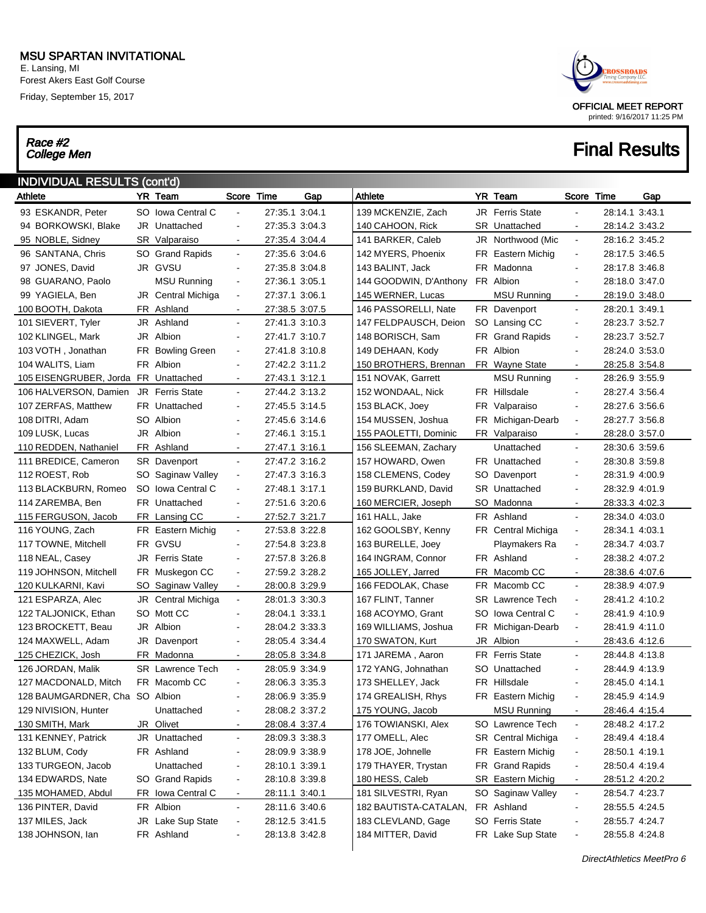E. Lansing, MI Forest Akers East Golf Course Friday, September 15, 2017

# Race #2<br>College Men



## **Final Results**

| <b>INDIVIDUAL RESULTS (cont'd)</b><br>YR Team<br>Score Time<br>YR Team<br>Gap<br>Athlete<br>Score Time<br>Gap<br>Athlete |  |                         |                          |                |  |                        |     |                         |                          |                |  |  |  |
|--------------------------------------------------------------------------------------------------------------------------|--|-------------------------|--------------------------|----------------|--|------------------------|-----|-------------------------|--------------------------|----------------|--|--|--|
|                                                                                                                          |  |                         |                          |                |  |                        |     |                         |                          |                |  |  |  |
| 93 ESKANDR, Peter                                                                                                        |  | SO Iowa Central C       |                          | 27:35.1 3:04.1 |  | 139 MCKENZIE, Zach     |     | <b>JR</b> Ferris State  |                          | 28:14.1 3:43.1 |  |  |  |
| 94 BORKOWSKI, Blake                                                                                                      |  | JR Unattached           | $\overline{\phantom{a}}$ | 27:35.3 3:04.3 |  | 140 CAHOON, Rick       |     | <b>SR</b> Unattached    |                          | 28:14.2 3:43.2 |  |  |  |
| 95 NOBLE, Sidney                                                                                                         |  | SR Valparaiso           | $\blacksquare$           | 27:35.4 3:04.4 |  | 141 BARKER, Caleb      |     | JR Northwood (Mic       | $\blacksquare$           | 28:16.2 3:45.2 |  |  |  |
| 96 SANTANA, Chris                                                                                                        |  | SO Grand Rapids         | $\blacksquare$           | 27:35.6 3:04.6 |  | 142 MYERS, Phoenix     |     | FR Eastern Michig       | $\blacksquare$           | 28:17.5 3:46.5 |  |  |  |
| 97 JONES, David                                                                                                          |  | JR GVSU                 | $\overline{\phantom{a}}$ | 27:35.8 3:04.8 |  | 143 BALINT, Jack       |     | FR Madonna              | $\blacksquare$           | 28:17.8 3:46.8 |  |  |  |
| 98 GUARANO, Paolo                                                                                                        |  | <b>MSU Running</b>      | $\overline{\phantom{a}}$ | 27:36.1 3:05.1 |  | 144 GOODWIN, D'Anthony |     | FR Albion               | $\overline{\phantom{a}}$ | 28:18.0 3:47.0 |  |  |  |
| 99 YAGIELA, Ben                                                                                                          |  | JR Central Michiga      | $\blacksquare$           | 27:37.1 3:06.1 |  | 145 WERNER, Lucas      |     | MSU Running             | $\sim$                   | 28:19.0 3:48.0 |  |  |  |
| 100 BOOTH, Dakota                                                                                                        |  | FR Ashland              | $\blacksquare$           | 27:38.5 3:07.5 |  | 146 PASSORELLI, Nate   |     | FR Davenport            | $\blacksquare$           | 28:20.1 3:49.1 |  |  |  |
| 101 SIEVERT, Tyler                                                                                                       |  | JR Ashland              | $\blacksquare$           | 27:41.3 3:10.3 |  | 147 FELDPAUSCH, Deion  |     | SO Lansing CC           | $\overline{\phantom{a}}$ | 28:23.7 3:52.7 |  |  |  |
| 102 KLINGEL, Mark                                                                                                        |  | JR Albion               | $\overline{\phantom{a}}$ | 27:41.7 3:10.7 |  | 148 BORISCH, Sam       |     | FR Grand Rapids         | $\blacksquare$           | 28:23.7 3:52.7 |  |  |  |
| 103 VOTH, Jonathan                                                                                                       |  | FR Bowling Green        | $\overline{\phantom{a}}$ | 27:41.8 3:10.8 |  | 149 DEHAAN, Kody       |     | FR Albion               | $\blacksquare$           | 28:24.0 3:53.0 |  |  |  |
| 104 WALITS, Liam                                                                                                         |  | FR Albion               | $\overline{\phantom{a}}$ | 27:42.2 3:11.2 |  | 150 BROTHERS, Brennan  |     | FR Wayne State          | $\sim$                   | 28:25.8 3:54.8 |  |  |  |
| 105 EISENGRUBER, Jorda FR Unattached                                                                                     |  |                         | $\blacksquare$           | 27:43.1 3:12.1 |  | 151 NOVAK, Garrett     |     | <b>MSU Running</b>      | $\blacksquare$           | 28:26.9 3:55.9 |  |  |  |
| 106 HALVERSON, Damien                                                                                                    |  | <b>JR</b> Ferris State  | $\blacksquare$           | 27:44.2 3:13.2 |  | 152 WONDAAL, Nick      |     | FR Hillsdale            | $\blacksquare$           | 28:27.4 3:56.4 |  |  |  |
| 107 ZERFAS, Matthew                                                                                                      |  | <b>FR</b> Unattached    | $\overline{\phantom{a}}$ | 27:45.5 3:14.5 |  | 153 BLACK, Joey        |     | FR Valparaiso           | $\overline{\phantom{a}}$ | 28:27.6 3:56.6 |  |  |  |
| 108 DITRI, Adam                                                                                                          |  | SO Albion               | $\blacksquare$           | 27:45.6 3:14.6 |  | 154 MUSSEN, Joshua     |     | FR Michigan-Dearb       | $\overline{\phantom{a}}$ | 28:27.7 3:56.8 |  |  |  |
| 109 LUSK, Lucas                                                                                                          |  | JR Albion               | $\blacksquare$           | 27:46.1 3:15.1 |  | 155 PAOLETTI, Dominic  |     | FR Valparaiso           | $\sim$                   | 28:28.0 3:57.0 |  |  |  |
| 110 REDDEN, Nathaniel                                                                                                    |  | FR Ashland              | $\blacksquare$           | 27:47.1 3:16.1 |  | 156 SLEEMAN, Zachary   |     | Unattached              | $\blacksquare$           | 28:30.6 3:59.6 |  |  |  |
| 111 BREDICE, Cameron                                                                                                     |  | <b>SR</b> Davenport     | $\blacksquare$           | 27:47.2 3:16.2 |  | 157 HOWARD, Owen       |     | FR Unattached           | $\blacksquare$           | 28:30.8 3:59.8 |  |  |  |
| 112 ROEST, Rob                                                                                                           |  | SO Saginaw Valley       | $\overline{\phantom{a}}$ | 27:47.3 3:16.3 |  | 158 CLEMENS, Codey     |     | SO Davenport            | $\overline{\phantom{a}}$ | 28:31.9 4:00.9 |  |  |  |
| 113 BLACKBURN, Romeo                                                                                                     |  | SO Iowa Central C       | $\overline{\phantom{a}}$ | 27:48.1 3:17.1 |  | 159 BURKLAND, David    |     | <b>SR</b> Unattached    | $\overline{\phantom{a}}$ | 28:32.9 4:01.9 |  |  |  |
| 114 ZAREMBA, Ben                                                                                                         |  | FR Unattached           | $\overline{\phantom{a}}$ | 27:51.6 3:20.6 |  | 160 MERCIER, Joseph    |     | SO Madonna              | $\sim$                   | 28:33.3 4:02.3 |  |  |  |
| 115 FERGUSON, Jacob                                                                                                      |  | FR Lansing CC           | $\blacksquare$           | 27:52.7 3:21.7 |  | 161 HALL, Jake         |     | FR Ashland              | $\blacksquare$           | 28:34.0 4:03.0 |  |  |  |
| 116 YOUNG, Zach                                                                                                          |  | FR Eastern Michig       | $\blacksquare$           | 27:53.8 3:22.8 |  | 162 GOOLSBY, Kenny     |     | FR Central Michiga      | $\blacksquare$           | 28:34.1 4:03.1 |  |  |  |
| 117 TOWNE, Mitchell                                                                                                      |  | FR GVSU                 | $\blacksquare$           | 27:54.8 3:23.8 |  | 163 BURELLE, Joey      |     | Playmakers Ra           | $\blacksquare$           | 28:34.7 4:03.7 |  |  |  |
| 118 NEAL, Casey                                                                                                          |  | <b>JR</b> Ferris State  | $\overline{\phantom{a}}$ | 27:57.8 3:26.8 |  | 164 INGRAM, Connor     |     | FR Ashland              | $\blacksquare$           | 28:38.2 4:07.2 |  |  |  |
| 119 JOHNSON, Mitchell                                                                                                    |  | FR Muskegon CC          | $\blacksquare$           | 27:59.2 3:28.2 |  | 165 JOLLEY, Jarred     |     | FR Macomb CC            |                          | 28:38.6 4:07.6 |  |  |  |
| 120 KULKARNI, Kavi                                                                                                       |  | SO Saginaw Valley       | $\blacksquare$           | 28:00.8 3:29.9 |  | 166 FEDOLAK, Chase     |     | FR Macomb CC            | $\blacksquare$           | 28:38.9 4:07.9 |  |  |  |
| 121 ESPARZA, Alec                                                                                                        |  | JR Central Michiga      | $\blacksquare$           | 28:01.3 3:30.3 |  | 167 FLINT, Tanner      |     | <b>SR</b> Lawrence Tech | $\blacksquare$           | 28:41.2 4:10.2 |  |  |  |
| 122 TALJONICK, Ethan                                                                                                     |  | SO Mott CC              | $\overline{\phantom{a}}$ | 28:04.1 3:33.1 |  | 168 ACOYMO, Grant      | SO. | <b>Iowa Central C</b>   | $\blacksquare$           | 28:41.9 4:10.9 |  |  |  |
| 123 BROCKETT, Beau                                                                                                       |  | JR Albion               | $\overline{\phantom{a}}$ | 28:04.2 3:33.3 |  | 169 WILLIAMS, Joshua   |     | FR Michigan-Dearb       | $\blacksquare$           | 28:41.9 4:11.0 |  |  |  |
| 124 MAXWELL, Adam                                                                                                        |  | JR Davenport            | $\blacksquare$           | 28:05.4 3:34.4 |  | 170 SWATON, Kurt       |     | JR Albion               | $\sim$                   | 28:43.6 4:12.6 |  |  |  |
| 125 CHEZICK, Josh                                                                                                        |  | FR Madonna              | $\blacksquare$           | 28:05.8 3:34.8 |  | 171 JAREMA, Aaron      |     | <b>FR</b> Ferris State  | $\blacksquare$           | 28:44.8 4:13.8 |  |  |  |
| 126 JORDAN, Malik                                                                                                        |  | <b>SR</b> Lawrence Tech | $\blacksquare$           | 28:05.9 3:34.9 |  | 172 YANG, Johnathan    |     | SO Unattached           | $\blacksquare$           | 28:44.9 4:13.9 |  |  |  |
| 127 MACDONALD, Mitch                                                                                                     |  | FR Macomb CC            |                          | 28:06.3 3:35.3 |  | 173 SHELLEY, Jack      |     | FR Hillsdale            | $\blacksquare$           | 28:45.0 4:14.1 |  |  |  |
| 128 BAUMGARDNER, Cha SO Albion                                                                                           |  |                         |                          | 28:06.9 3:35.9 |  | 174 GREALISH, Rhys     |     | FR Eastern Michig       | $\blacksquare$           | 28:45.9 4:14.9 |  |  |  |
| 129 NIVISION, Hunter                                                                                                     |  | Unattached              |                          | 28:08.2 3:37.2 |  | 175 YOUNG, Jacob       |     | <b>MSU Running</b>      | $\blacksquare$           | 28:46.4 4:15.4 |  |  |  |
| 130 SMITH, Mark                                                                                                          |  | JR Olivet               |                          | 28:08.4 3:37.4 |  | 176 TOWIANSKI, Alex    |     | SO Lawrence Tech        | $\blacksquare$           | 28:48.2 4:17.2 |  |  |  |
| 131 KENNEY, Patrick                                                                                                      |  | JR Unattached           | $\overline{\phantom{a}}$ | 28:09.3 3:38.3 |  | 177 OMELL, Alec        |     | SR Central Michiga      | $\blacksquare$           | 28:49.4 4:18.4 |  |  |  |
| 132 BLUM, Cody                                                                                                           |  | FR Ashland              |                          | 28:09.9 3:38.9 |  | 178 JOE, Johnelle      |     | FR Eastern Michig       | $\blacksquare$           | 28:50.1 4:19.1 |  |  |  |
| 133 TURGEON, Jacob                                                                                                       |  | Unattached              |                          | 28:10.1 3:39.1 |  | 179 THAYER, Trystan    |     | FR Grand Rapids         | $\blacksquare$           | 28:50.4 4:19.4 |  |  |  |
| 134 EDWARDS, Nate                                                                                                        |  | SO Grand Rapids         | $\blacksquare$           | 28:10.8 3:39.8 |  | 180 HESS, Caleb        |     | SR Eastern Michig       | $\blacksquare$           | 28:51.2 4:20.2 |  |  |  |
| 135 MOHAMED, Abdul                                                                                                       |  | FR Iowa Central C       | $\blacksquare$           | 28:11.1 3:40.1 |  | 181 SILVESTRI, Ryan    |     | SO Saginaw Valley       | $\blacksquare$           | 28:54.7 4:23.7 |  |  |  |
| 136 PINTER, David                                                                                                        |  | FR Albion               | $\blacksquare$           | 28:11.6 3:40.6 |  | 182 BAUTISTA-CATALAN,  |     | FR Ashland              | $\overline{\phantom{a}}$ | 28:55.5 4:24.5 |  |  |  |
| 137 MILES, Jack                                                                                                          |  | JR Lake Sup State       | $\overline{\phantom{a}}$ | 28:12.5 3:41.5 |  | 183 CLEVLAND, Gage     |     | <b>SO</b> Ferris State  | $\blacksquare$           | 28:55.7 4:24.7 |  |  |  |
| 138 JOHNSON, Ian                                                                                                         |  | FR Ashland              |                          | 28:13.8 3:42.8 |  | 184 MITTER, David      |     | FR Lake Sup State       | $\blacksquare$           | 28:55.8 4:24.8 |  |  |  |
|                                                                                                                          |  |                         |                          |                |  |                        |     |                         |                          |                |  |  |  |

DirectAthletics MeetPro 6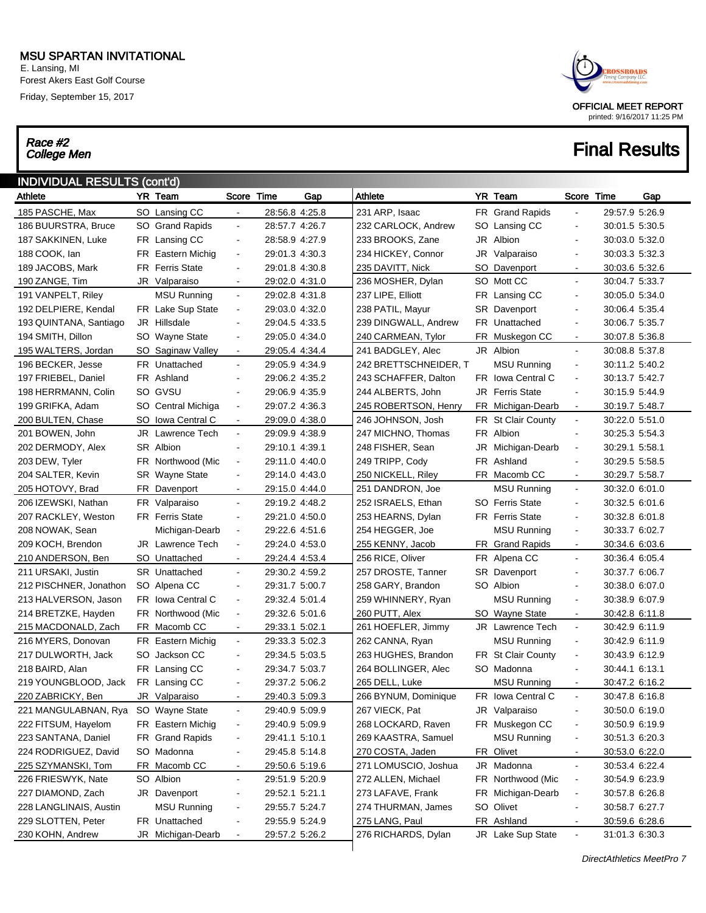E. Lansing, MI Forest Akers East Golf Course Friday, September 15, 2017

# Race #2<br>College Men



| YR Team<br>Score Time<br>Athlete<br><b>YR Team</b><br>Gap<br>Time<br>Gap<br>Athlete<br>Score<br>231 ARP, Isaac<br>185 PASCHE, Max<br>SO Lansing CC<br>28:56.8 4:25.8<br>FR Grand Rapids<br>29:57.9 5:26.9<br>$\blacksquare$<br>186 BUURSTRA, Bruce<br>SO Grand Rapids<br>28:57.7 4:26.7<br>232 CARLOCK, Andrew<br>30:01.5 5:30.5<br>SO.<br>Lansing CC<br>$\blacksquare$<br>$\blacksquare$<br>28:58.9 4:27.9<br>233 BROOKS, Zane<br>Albion<br>187 SAKKINEN, Luke<br>FR Lansing CC<br>JR<br>30:03.0 5:32.0<br>$\blacksquare$<br>$\blacksquare$<br>188 COOK, lan<br>FR Eastern Michig<br>29:01.3 4:30.3<br>234 HICKEY, Connor<br>30:03.3 5:32.3<br>JR<br>Valparaiso<br>$\blacksquare$<br>$\sim$<br><b>FR</b> Ferris State<br>29:01.8 4:30.8<br>235 DAVITT, Nick<br>189 JACOBS, Mark<br>SO Davenport<br>30:03.6 5:32.6<br>$\blacksquare$<br>$\sim$<br>29:02.0 4:31.0<br>236 MOSHER, Dylan<br>SO Mott CC<br>30:04.7 5:33.7<br>190 ZANGE, Tim<br>JR Valparaiso<br>$\blacksquare$<br>$\blacksquare$<br>191 VANPELT, Riley<br><b>MSU Running</b><br>29:02.8 4:31.8<br>237 LIPE, Elliott<br>30:05.0 5:34.0<br>FR Lansing CC<br>$\blacksquare$<br>$\blacksquare$<br>FR Lake Sup State<br>238 PATIL, Mayur<br>192 DELPIERE, Kendal<br>29:03.0 4:32.0<br><b>SR</b> Davenport<br>30:06.4 5:35.4<br>$\overline{\phantom{a}}$<br>$\blacksquare$<br>29:04.5 4:33.5<br>239 DINGWALL, Andrew<br>FR Unattached<br>30:06.7 5:35.7<br>193 QUINTANA, Santiago<br>JR Hillsdale<br>$\overline{\phantom{a}}$<br>$\sim$<br>SO Wayne State<br>29:05.0 4:34.0<br>240 CARMEAN, Tylor<br>FR Muskegon CC<br>194 SMITH, Dillon<br>30:07.8 5:36.8<br>$\blacksquare$<br>$\sim$<br>195 WALTERS, Jordan<br>241 BADGLEY, Alec<br>JR Albion<br>30:08.8 5:37.8<br>SO Saginaw Valley<br>29:05.4 4:34.4<br>$\blacksquare$<br>$\blacksquare$<br>196 BECKER, Jesse<br><b>FR</b> Unattached<br>29:05.9 4:34.9<br><b>MSU Running</b><br>242 BRETTSCHNEIDER, T<br>30:11.2 5:40.2<br>$\blacksquare$<br>$\overline{\phantom{a}}$<br>FR Ashland<br>FR Iowa Central C<br>30:13.7 5:42.7<br>197 FRIEBEL, Daniel<br>29:06.2 4:35.2<br>243 SCHAFFER, Dalton<br>$\blacksquare$<br>$\blacksquare$<br>SO GVSU<br>29:06.9 4:35.9<br>244 ALBERTS, John<br><b>Ferris State</b><br>30:15.9 5:44.9<br>198 HERRMANN, Colin<br>JR<br>$\blacksquare$<br>$\blacksquare$<br>SO Central Michiga<br>29:07.2 4:36.3<br>245 ROBERTSON, Henry<br>FR Michigan-Dearb<br>30:19.7 5:48.7<br>199 GRIFKA, Adam<br>$\overline{\phantom{a}}$<br>$\sim$<br>SO Iowa Central C<br>29:09.0 4:38.0<br>246 JOHNSON, Josh<br>FR St Clair County<br>30:22.0 5:51.0<br>200 BULTEN, Chase<br>$\blacksquare$<br>$\blacksquare$<br>201 BOWEN, John<br>JR Lawrence Tech<br>29:09.9 4:38.9<br>247 MICHNO, Thomas<br>FR Albion<br>30:25.3 5:54.3<br>$\blacksquare$<br>$\blacksquare$<br>SR Albion<br>248 FISHER, Sean<br>30:29.1 5:58.1<br>202 DERMODY, Alex<br>29:10.1 4:39.1<br>JR<br>Michigan-Dearb<br>$\overline{\phantom{a}}$<br>$\blacksquare$<br>FR Northwood (Mic<br>29:11.0 4:40.0<br>249 TRIPP, Cody<br>FR Ashland<br>30:29.5 5:58.5<br>203 DEW, Tyler<br>$\blacksquare$<br>$\overline{\phantom{a}}$<br>SR Wayne State<br>29:14.0 4:43.0<br>250 NICKELL, Riley<br>FR Macomb CC<br>30:29.7 5:58.7<br>204 SALTER, Kevin<br>$\overline{\phantom{a}}$<br>$\sim$<br>251 DANDRON, Joe<br><b>MSU Running</b><br>30:32.0 6:01.0<br>205 HOTOVY, Brad<br>FR Davenport<br>29:15.0 4:44.0<br>$\blacksquare$<br>$\blacksquare$<br>FR Valparaiso<br>29:19.2 4:48.2<br>252 ISRAELS, Ethan<br><b>SO</b> Ferris State<br>30:32.5 6:01.6<br>206 IZEWSKI, Nathan<br>$\blacksquare$<br>$\blacksquare$<br><b>FR</b> Ferris State<br>29:21.0 4:50.0<br>253 HEARNS, Dylan<br><b>FR</b> Ferris State<br>30:32.8 6:01.8<br>207 RACKLEY, Weston<br>$\overline{\phantom{a}}$<br>$\blacksquare$<br>Michigan-Dearb<br>29:22.6 4:51.6<br>254 HEGGER, Joe<br><b>MSU Running</b><br>30:33.7 6:02.7<br>208 NOWAK, Sean<br>$\blacksquare$<br>$\overline{\phantom{a}}$<br>209 KOCH, Brendon<br><b>JR</b> Lawrence Tech<br>29:24.0 4:53.0<br>255 KENNY, Jacob<br>FR Grand Rapids<br>30:34.6 6:03.6<br>$\overline{\phantom{a}}$<br>$\sim$<br>SO Unattached<br>256 RICE, Oliver<br>FR Alpena CC<br>30:36.4 6:05.4<br>210 ANDERSON, Ben<br>29:24.4 4:53.4<br>$\blacksquare$<br>$\blacksquare$<br>211 URSAKI, Justin<br>SR Unattached<br>29:30.2 4:59.2<br>257 DROSTE, Tanner<br>SR Davenport<br>30:37.7 6:06.7<br>$\blacksquare$<br>$\blacksquare$<br>29:31.7 5:00.7<br>258 GARY, Brandon<br>SO Albion<br>30:38.0 6:07.0<br>212 PISCHNER, Jonathon<br>SO Alpena CC<br>$\blacksquare$<br>$\blacksquare$<br>FR Iowa Central C<br>259 WHINNERY, Ryan<br><b>MSU Running</b><br>30:38.9 6:07.9<br>213 HALVERSON, Jason<br>29:32.4 5:01.4<br>$\blacksquare$<br>$\sim$<br>214 BRETZKE, Hayden<br>FR Northwood (Mic<br>29:32.6 5:01.6<br>260 PUTT, Alex<br>SO Wayne State<br>30:42.8 6:11.8<br>$\overline{\phantom{a}}$<br>$\sim$<br>215 MACDONALD, Zach<br>FR Macomb CC<br>261 HOEFLER, Jimmy<br><b>JR</b> Lawrence Tech<br>30:42.9 6:11.9<br>29:33.1 5:02.1<br>$\blacksquare$<br>$\blacksquare$<br>216 MYERS, Donovan<br>FR Eastern Michig<br>29:33.3 5:02.3<br>262 CANNA, Ryan<br><b>MSU Running</b><br>30:42.9 6:11.9<br>$\blacksquare$<br>$\blacksquare$<br>29:34.5 5:03.5<br>FR St Clair County<br>30:43.9 6:12.9<br>217 DULWORTH, Jack<br>SO Jackson CC<br>263 HUGHES, Brandon<br>$\blacksquare$<br>$\sim$<br>FR Lansing CC<br>SO Madonna<br>218 BAIRD, Alan<br>29:34.7 5:03.7<br>264 BOLLINGER, Alec<br>30:44.1 6:13.1<br>$\blacksquare$<br>$\blacksquare$<br>FR Lansing CC<br>29:37.2 5:06.2<br>265 DELL, Luke<br><b>MSU Running</b><br>219 YOUNGBLOOD, Jack<br>30:47.2 6:16.2<br>$\blacksquare$<br>$\sim$<br>220 ZABRICKY, Ben<br>29:40.3 5:09.3<br>FR Iowa Central C<br>JR Valparaiso<br>266 BYNUM, Dominique<br>30:47.8 6:16.8<br>$\blacksquare$<br>29:40.9 5:09.9<br>267 VIECK, Pat<br>221 MANGULABNAN, Rya<br>SO Wayne State<br>JR Valparaiso<br>30:50.0 6:19.0<br>$\blacksquare$<br>FR Muskegon CC<br>222 FITSUM, Hayelom<br>FR Eastern Michig<br>29:40.9 5:09.9<br>268 LOCKARD, Raven<br>30:50.9 6:19.9<br>$\overline{\phantom{a}}$<br>$\blacksquare$<br>FR Grand Rapids<br>269 KAASTRA, Samuel<br>223 SANTANA, Daniel<br>29:41.1 5:10.1<br><b>MSU Running</b><br>30:51.3 6:20.3<br>$\overline{\phantom{a}}$<br>$\blacksquare$<br>SO Madonna<br>29:45.8 5:14.8<br>270 COSTA, Jaden<br>FR Olivet<br>224 RODRIGUEZ, David<br>30:53.0 6:22.0<br>$\overline{\phantom{a}}$<br>$\blacksquare$<br>FR Macomb CC<br>271 LOMUSCIO, Joshua<br>JR Madonna<br>225 SZYMANSKI, Tom<br>29:50.6 5:19.6<br>30:53.4 6:22.4<br>$\blacksquare$<br>$\blacksquare$<br>SO Albion<br>29:51.9 5:20.9<br>FR Northwood (Mic<br>226 FRIESWYK, Nate<br>272 ALLEN, Michael<br>30:54.9 6:23.9<br>$\blacksquare$<br>$\overline{\phantom{a}}$<br>JR Davenport<br>FR Michigan-Dearb<br>227 DIAMOND, Zach<br>29:52.1 5:21.1<br>273 LAFAVE, Frank<br>30:57.8 6:26.8<br>$\overline{\phantom{a}}$<br>$\overline{\phantom{a}}$<br><b>MSU Running</b><br>29:55.7 5:24.7<br>SO Olivet<br>228 LANGLINAIS, Austin<br>274 THURMAN, James<br>30:58.7 6:27.7<br>$\overline{\phantom{a}}$<br>$\overline{\phantom{a}}$<br>229 SLOTTEN, Peter<br>FR Unattached<br>29:55.9 5:24.9<br>275 LANG, Paul<br>FR Ashland<br>30:59.6 6:28.6<br>$\blacksquare$<br>$\overline{\phantom{a}}$<br>230 KOHN, Andrew<br>JR Lake Sup State<br>JR Michigan-Dearb<br>29:57.2 5:26.2<br>276 RICHARDS, Dylan<br>31:01.3 6:30.3<br>$\blacksquare$<br>$\blacksquare$ | <b>INDIVIDUAL RESULTS (cont'd)</b> |  |  |  |  |  |  |
|--------------------------------------------------------------------------------------------------------------------------------------------------------------------------------------------------------------------------------------------------------------------------------------------------------------------------------------------------------------------------------------------------------------------------------------------------------------------------------------------------------------------------------------------------------------------------------------------------------------------------------------------------------------------------------------------------------------------------------------------------------------------------------------------------------------------------------------------------------------------------------------------------------------------------------------------------------------------------------------------------------------------------------------------------------------------------------------------------------------------------------------------------------------------------------------------------------------------------------------------------------------------------------------------------------------------------------------------------------------------------------------------------------------------------------------------------------------------------------------------------------------------------------------------------------------------------------------------------------------------------------------------------------------------------------------------------------------------------------------------------------------------------------------------------------------------------------------------------------------------------------------------------------------------------------------------------------------------------------------------------------------------------------------------------------------------------------------------------------------------------------------------------------------------------------------------------------------------------------------------------------------------------------------------------------------------------------------------------------------------------------------------------------------------------------------------------------------------------------------------------------------------------------------------------------------------------------------------------------------------------------------------------------------------------------------------------------------------------------------------------------------------------------------------------------------------------------------------------------------------------------------------------------------------------------------------------------------------------------------------------------------------------------------------------------------------------------------------------------------------------------------------------------------------------------------------------------------------------------------------------------------------------------------------------------------------------------------------------------------------------------------------------------------------------------------------------------------------------------------------------------------------------------------------------------------------------------------------------------------------------------------------------------------------------------------------------------------------------------------------------------------------------------------------------------------------------------------------------------------------------------------------------------------------------------------------------------------------------------------------------------------------------------------------------------------------------------------------------------------------------------------------------------------------------------------------------------------------------------------------------------------------------------------------------------------------------------------------------------------------------------------------------------------------------------------------------------------------------------------------------------------------------------------------------------------------------------------------------------------------------------------------------------------------------------------------------------------------------------------------------------------------------------------------------------------------------------------------------------------------------------------------------------------------------------------------------------------------------------------------------------------------------------------------------------------------------------------------------------------------------------------------------------------------------------------------------------------------------------------------------------------------------------------------------------------------------------------------------------------------------------------------------------------------------------------------------------------------------------------------------------------------------------------------------------------------------------------------------------------------------------------------------------------------------------------------------------------------------------------------------------------------------------------------------------------------------------------------------------------------------------------------------------------------------------------------------------------------------------------------------------------------------------------------------------------------------------------------------------------------------------------------------------------------------------------------------------------------------------------------------------------------------------------------------------------------------------------------------------------------------------------------------------------------------------------------------------------------------------------------------------------------------------------------------------------------------------------------------------------------------------------------------------------------------------------------------------------------------------------------------------------------------------------------------------------------------------------------------------------------------------------------------------------------------------------------------------------------------------------------------------------------------------------------------------------------------------------------------------------------------------------------------------------------------------------------------------------------------------------------------------------------------------------------------------------------------------------------------------------------------------------------------------------------------------------------------------------------------|------------------------------------|--|--|--|--|--|--|
|                                                                                                                                                                                                                                                                                                                                                                                                                                                                                                                                                                                                                                                                                                                                                                                                                                                                                                                                                                                                                                                                                                                                                                                                                                                                                                                                                                                                                                                                                                                                                                                                                                                                                                                                                                                                                                                                                                                                                                                                                                                                                                                                                                                                                                                                                                                                                                                                                                                                                                                                                                                                                                                                                                                                                                                                                                                                                                                                                                                                                                                                                                                                                                                                                                                                                                                                                                                                                                                                                                                                                                                                                                                                                                                                                                                                                                                                                                                                                                                                                                                                                                                                                                                                                                                                                                                                                                                                                                                                                                                                                                                                                                                                                                                                                                                                                                                                                                                                                                                                                                                                                                                                                                                                                                                                                                                                                                                                                                                                                                                                                                                                                                                                                                                                                                                                                                                                                                                                                                                                                                                                                                                                                                                                                                                                                                                                                                                                                                                                                                                                                                                                                                                                                                                                                                                                                                                                                                                                                                                                                                                                                                                                                                                                                                                                                                                                                                                                                                                                          |                                    |  |  |  |  |  |  |
|                                                                                                                                                                                                                                                                                                                                                                                                                                                                                                                                                                                                                                                                                                                                                                                                                                                                                                                                                                                                                                                                                                                                                                                                                                                                                                                                                                                                                                                                                                                                                                                                                                                                                                                                                                                                                                                                                                                                                                                                                                                                                                                                                                                                                                                                                                                                                                                                                                                                                                                                                                                                                                                                                                                                                                                                                                                                                                                                                                                                                                                                                                                                                                                                                                                                                                                                                                                                                                                                                                                                                                                                                                                                                                                                                                                                                                                                                                                                                                                                                                                                                                                                                                                                                                                                                                                                                                                                                                                                                                                                                                                                                                                                                                                                                                                                                                                                                                                                                                                                                                                                                                                                                                                                                                                                                                                                                                                                                                                                                                                                                                                                                                                                                                                                                                                                                                                                                                                                                                                                                                                                                                                                                                                                                                                                                                                                                                                                                                                                                                                                                                                                                                                                                                                                                                                                                                                                                                                                                                                                                                                                                                                                                                                                                                                                                                                                                                                                                                                                          |                                    |  |  |  |  |  |  |
|                                                                                                                                                                                                                                                                                                                                                                                                                                                                                                                                                                                                                                                                                                                                                                                                                                                                                                                                                                                                                                                                                                                                                                                                                                                                                                                                                                                                                                                                                                                                                                                                                                                                                                                                                                                                                                                                                                                                                                                                                                                                                                                                                                                                                                                                                                                                                                                                                                                                                                                                                                                                                                                                                                                                                                                                                                                                                                                                                                                                                                                                                                                                                                                                                                                                                                                                                                                                                                                                                                                                                                                                                                                                                                                                                                                                                                                                                                                                                                                                                                                                                                                                                                                                                                                                                                                                                                                                                                                                                                                                                                                                                                                                                                                                                                                                                                                                                                                                                                                                                                                                                                                                                                                                                                                                                                                                                                                                                                                                                                                                                                                                                                                                                                                                                                                                                                                                                                                                                                                                                                                                                                                                                                                                                                                                                                                                                                                                                                                                                                                                                                                                                                                                                                                                                                                                                                                                                                                                                                                                                                                                                                                                                                                                                                                                                                                                                                                                                                                                          |                                    |  |  |  |  |  |  |
|                                                                                                                                                                                                                                                                                                                                                                                                                                                                                                                                                                                                                                                                                                                                                                                                                                                                                                                                                                                                                                                                                                                                                                                                                                                                                                                                                                                                                                                                                                                                                                                                                                                                                                                                                                                                                                                                                                                                                                                                                                                                                                                                                                                                                                                                                                                                                                                                                                                                                                                                                                                                                                                                                                                                                                                                                                                                                                                                                                                                                                                                                                                                                                                                                                                                                                                                                                                                                                                                                                                                                                                                                                                                                                                                                                                                                                                                                                                                                                                                                                                                                                                                                                                                                                                                                                                                                                                                                                                                                                                                                                                                                                                                                                                                                                                                                                                                                                                                                                                                                                                                                                                                                                                                                                                                                                                                                                                                                                                                                                                                                                                                                                                                                                                                                                                                                                                                                                                                                                                                                                                                                                                                                                                                                                                                                                                                                                                                                                                                                                                                                                                                                                                                                                                                                                                                                                                                                                                                                                                                                                                                                                                                                                                                                                                                                                                                                                                                                                                                          |                                    |  |  |  |  |  |  |
|                                                                                                                                                                                                                                                                                                                                                                                                                                                                                                                                                                                                                                                                                                                                                                                                                                                                                                                                                                                                                                                                                                                                                                                                                                                                                                                                                                                                                                                                                                                                                                                                                                                                                                                                                                                                                                                                                                                                                                                                                                                                                                                                                                                                                                                                                                                                                                                                                                                                                                                                                                                                                                                                                                                                                                                                                                                                                                                                                                                                                                                                                                                                                                                                                                                                                                                                                                                                                                                                                                                                                                                                                                                                                                                                                                                                                                                                                                                                                                                                                                                                                                                                                                                                                                                                                                                                                                                                                                                                                                                                                                                                                                                                                                                                                                                                                                                                                                                                                                                                                                                                                                                                                                                                                                                                                                                                                                                                                                                                                                                                                                                                                                                                                                                                                                                                                                                                                                                                                                                                                                                                                                                                                                                                                                                                                                                                                                                                                                                                                                                                                                                                                                                                                                                                                                                                                                                                                                                                                                                                                                                                                                                                                                                                                                                                                                                                                                                                                                                                          |                                    |  |  |  |  |  |  |
|                                                                                                                                                                                                                                                                                                                                                                                                                                                                                                                                                                                                                                                                                                                                                                                                                                                                                                                                                                                                                                                                                                                                                                                                                                                                                                                                                                                                                                                                                                                                                                                                                                                                                                                                                                                                                                                                                                                                                                                                                                                                                                                                                                                                                                                                                                                                                                                                                                                                                                                                                                                                                                                                                                                                                                                                                                                                                                                                                                                                                                                                                                                                                                                                                                                                                                                                                                                                                                                                                                                                                                                                                                                                                                                                                                                                                                                                                                                                                                                                                                                                                                                                                                                                                                                                                                                                                                                                                                                                                                                                                                                                                                                                                                                                                                                                                                                                                                                                                                                                                                                                                                                                                                                                                                                                                                                                                                                                                                                                                                                                                                                                                                                                                                                                                                                                                                                                                                                                                                                                                                                                                                                                                                                                                                                                                                                                                                                                                                                                                                                                                                                                                                                                                                                                                                                                                                                                                                                                                                                                                                                                                                                                                                                                                                                                                                                                                                                                                                                                          |                                    |  |  |  |  |  |  |
|                                                                                                                                                                                                                                                                                                                                                                                                                                                                                                                                                                                                                                                                                                                                                                                                                                                                                                                                                                                                                                                                                                                                                                                                                                                                                                                                                                                                                                                                                                                                                                                                                                                                                                                                                                                                                                                                                                                                                                                                                                                                                                                                                                                                                                                                                                                                                                                                                                                                                                                                                                                                                                                                                                                                                                                                                                                                                                                                                                                                                                                                                                                                                                                                                                                                                                                                                                                                                                                                                                                                                                                                                                                                                                                                                                                                                                                                                                                                                                                                                                                                                                                                                                                                                                                                                                                                                                                                                                                                                                                                                                                                                                                                                                                                                                                                                                                                                                                                                                                                                                                                                                                                                                                                                                                                                                                                                                                                                                                                                                                                                                                                                                                                                                                                                                                                                                                                                                                                                                                                                                                                                                                                                                                                                                                                                                                                                                                                                                                                                                                                                                                                                                                                                                                                                                                                                                                                                                                                                                                                                                                                                                                                                                                                                                                                                                                                                                                                                                                                          |                                    |  |  |  |  |  |  |
|                                                                                                                                                                                                                                                                                                                                                                                                                                                                                                                                                                                                                                                                                                                                                                                                                                                                                                                                                                                                                                                                                                                                                                                                                                                                                                                                                                                                                                                                                                                                                                                                                                                                                                                                                                                                                                                                                                                                                                                                                                                                                                                                                                                                                                                                                                                                                                                                                                                                                                                                                                                                                                                                                                                                                                                                                                                                                                                                                                                                                                                                                                                                                                                                                                                                                                                                                                                                                                                                                                                                                                                                                                                                                                                                                                                                                                                                                                                                                                                                                                                                                                                                                                                                                                                                                                                                                                                                                                                                                                                                                                                                                                                                                                                                                                                                                                                                                                                                                                                                                                                                                                                                                                                                                                                                                                                                                                                                                                                                                                                                                                                                                                                                                                                                                                                                                                                                                                                                                                                                                                                                                                                                                                                                                                                                                                                                                                                                                                                                                                                                                                                                                                                                                                                                                                                                                                                                                                                                                                                                                                                                                                                                                                                                                                                                                                                                                                                                                                                                          |                                    |  |  |  |  |  |  |
|                                                                                                                                                                                                                                                                                                                                                                                                                                                                                                                                                                                                                                                                                                                                                                                                                                                                                                                                                                                                                                                                                                                                                                                                                                                                                                                                                                                                                                                                                                                                                                                                                                                                                                                                                                                                                                                                                                                                                                                                                                                                                                                                                                                                                                                                                                                                                                                                                                                                                                                                                                                                                                                                                                                                                                                                                                                                                                                                                                                                                                                                                                                                                                                                                                                                                                                                                                                                                                                                                                                                                                                                                                                                                                                                                                                                                                                                                                                                                                                                                                                                                                                                                                                                                                                                                                                                                                                                                                                                                                                                                                                                                                                                                                                                                                                                                                                                                                                                                                                                                                                                                                                                                                                                                                                                                                                                                                                                                                                                                                                                                                                                                                                                                                                                                                                                                                                                                                                                                                                                                                                                                                                                                                                                                                                                                                                                                                                                                                                                                                                                                                                                                                                                                                                                                                                                                                                                                                                                                                                                                                                                                                                                                                                                                                                                                                                                                                                                                                                                          |                                    |  |  |  |  |  |  |
|                                                                                                                                                                                                                                                                                                                                                                                                                                                                                                                                                                                                                                                                                                                                                                                                                                                                                                                                                                                                                                                                                                                                                                                                                                                                                                                                                                                                                                                                                                                                                                                                                                                                                                                                                                                                                                                                                                                                                                                                                                                                                                                                                                                                                                                                                                                                                                                                                                                                                                                                                                                                                                                                                                                                                                                                                                                                                                                                                                                                                                                                                                                                                                                                                                                                                                                                                                                                                                                                                                                                                                                                                                                                                                                                                                                                                                                                                                                                                                                                                                                                                                                                                                                                                                                                                                                                                                                                                                                                                                                                                                                                                                                                                                                                                                                                                                                                                                                                                                                                                                                                                                                                                                                                                                                                                                                                                                                                                                                                                                                                                                                                                                                                                                                                                                                                                                                                                                                                                                                                                                                                                                                                                                                                                                                                                                                                                                                                                                                                                                                                                                                                                                                                                                                                                                                                                                                                                                                                                                                                                                                                                                                                                                                                                                                                                                                                                                                                                                                                          |                                    |  |  |  |  |  |  |
|                                                                                                                                                                                                                                                                                                                                                                                                                                                                                                                                                                                                                                                                                                                                                                                                                                                                                                                                                                                                                                                                                                                                                                                                                                                                                                                                                                                                                                                                                                                                                                                                                                                                                                                                                                                                                                                                                                                                                                                                                                                                                                                                                                                                                                                                                                                                                                                                                                                                                                                                                                                                                                                                                                                                                                                                                                                                                                                                                                                                                                                                                                                                                                                                                                                                                                                                                                                                                                                                                                                                                                                                                                                                                                                                                                                                                                                                                                                                                                                                                                                                                                                                                                                                                                                                                                                                                                                                                                                                                                                                                                                                                                                                                                                                                                                                                                                                                                                                                                                                                                                                                                                                                                                                                                                                                                                                                                                                                                                                                                                                                                                                                                                                                                                                                                                                                                                                                                                                                                                                                                                                                                                                                                                                                                                                                                                                                                                                                                                                                                                                                                                                                                                                                                                                                                                                                                                                                                                                                                                                                                                                                                                                                                                                                                                                                                                                                                                                                                                                          |                                    |  |  |  |  |  |  |
|                                                                                                                                                                                                                                                                                                                                                                                                                                                                                                                                                                                                                                                                                                                                                                                                                                                                                                                                                                                                                                                                                                                                                                                                                                                                                                                                                                                                                                                                                                                                                                                                                                                                                                                                                                                                                                                                                                                                                                                                                                                                                                                                                                                                                                                                                                                                                                                                                                                                                                                                                                                                                                                                                                                                                                                                                                                                                                                                                                                                                                                                                                                                                                                                                                                                                                                                                                                                                                                                                                                                                                                                                                                                                                                                                                                                                                                                                                                                                                                                                                                                                                                                                                                                                                                                                                                                                                                                                                                                                                                                                                                                                                                                                                                                                                                                                                                                                                                                                                                                                                                                                                                                                                                                                                                                                                                                                                                                                                                                                                                                                                                                                                                                                                                                                                                                                                                                                                                                                                                                                                                                                                                                                                                                                                                                                                                                                                                                                                                                                                                                                                                                                                                                                                                                                                                                                                                                                                                                                                                                                                                                                                                                                                                                                                                                                                                                                                                                                                                                          |                                    |  |  |  |  |  |  |
|                                                                                                                                                                                                                                                                                                                                                                                                                                                                                                                                                                                                                                                                                                                                                                                                                                                                                                                                                                                                                                                                                                                                                                                                                                                                                                                                                                                                                                                                                                                                                                                                                                                                                                                                                                                                                                                                                                                                                                                                                                                                                                                                                                                                                                                                                                                                                                                                                                                                                                                                                                                                                                                                                                                                                                                                                                                                                                                                                                                                                                                                                                                                                                                                                                                                                                                                                                                                                                                                                                                                                                                                                                                                                                                                                                                                                                                                                                                                                                                                                                                                                                                                                                                                                                                                                                                                                                                                                                                                                                                                                                                                                                                                                                                                                                                                                                                                                                                                                                                                                                                                                                                                                                                                                                                                                                                                                                                                                                                                                                                                                                                                                                                                                                                                                                                                                                                                                                                                                                                                                                                                                                                                                                                                                                                                                                                                                                                                                                                                                                                                                                                                                                                                                                                                                                                                                                                                                                                                                                                                                                                                                                                                                                                                                                                                                                                                                                                                                                                                          |                                    |  |  |  |  |  |  |
|                                                                                                                                                                                                                                                                                                                                                                                                                                                                                                                                                                                                                                                                                                                                                                                                                                                                                                                                                                                                                                                                                                                                                                                                                                                                                                                                                                                                                                                                                                                                                                                                                                                                                                                                                                                                                                                                                                                                                                                                                                                                                                                                                                                                                                                                                                                                                                                                                                                                                                                                                                                                                                                                                                                                                                                                                                                                                                                                                                                                                                                                                                                                                                                                                                                                                                                                                                                                                                                                                                                                                                                                                                                                                                                                                                                                                                                                                                                                                                                                                                                                                                                                                                                                                                                                                                                                                                                                                                                                                                                                                                                                                                                                                                                                                                                                                                                                                                                                                                                                                                                                                                                                                                                                                                                                                                                                                                                                                                                                                                                                                                                                                                                                                                                                                                                                                                                                                                                                                                                                                                                                                                                                                                                                                                                                                                                                                                                                                                                                                                                                                                                                                                                                                                                                                                                                                                                                                                                                                                                                                                                                                                                                                                                                                                                                                                                                                                                                                                                                          |                                    |  |  |  |  |  |  |
|                                                                                                                                                                                                                                                                                                                                                                                                                                                                                                                                                                                                                                                                                                                                                                                                                                                                                                                                                                                                                                                                                                                                                                                                                                                                                                                                                                                                                                                                                                                                                                                                                                                                                                                                                                                                                                                                                                                                                                                                                                                                                                                                                                                                                                                                                                                                                                                                                                                                                                                                                                                                                                                                                                                                                                                                                                                                                                                                                                                                                                                                                                                                                                                                                                                                                                                                                                                                                                                                                                                                                                                                                                                                                                                                                                                                                                                                                                                                                                                                                                                                                                                                                                                                                                                                                                                                                                                                                                                                                                                                                                                                                                                                                                                                                                                                                                                                                                                                                                                                                                                                                                                                                                                                                                                                                                                                                                                                                                                                                                                                                                                                                                                                                                                                                                                                                                                                                                                                                                                                                                                                                                                                                                                                                                                                                                                                                                                                                                                                                                                                                                                                                                                                                                                                                                                                                                                                                                                                                                                                                                                                                                                                                                                                                                                                                                                                                                                                                                                                          |                                    |  |  |  |  |  |  |
|                                                                                                                                                                                                                                                                                                                                                                                                                                                                                                                                                                                                                                                                                                                                                                                                                                                                                                                                                                                                                                                                                                                                                                                                                                                                                                                                                                                                                                                                                                                                                                                                                                                                                                                                                                                                                                                                                                                                                                                                                                                                                                                                                                                                                                                                                                                                                                                                                                                                                                                                                                                                                                                                                                                                                                                                                                                                                                                                                                                                                                                                                                                                                                                                                                                                                                                                                                                                                                                                                                                                                                                                                                                                                                                                                                                                                                                                                                                                                                                                                                                                                                                                                                                                                                                                                                                                                                                                                                                                                                                                                                                                                                                                                                                                                                                                                                                                                                                                                                                                                                                                                                                                                                                                                                                                                                                                                                                                                                                                                                                                                                                                                                                                                                                                                                                                                                                                                                                                                                                                                                                                                                                                                                                                                                                                                                                                                                                                                                                                                                                                                                                                                                                                                                                                                                                                                                                                                                                                                                                                                                                                                                                                                                                                                                                                                                                                                                                                                                                                          |                                    |  |  |  |  |  |  |
|                                                                                                                                                                                                                                                                                                                                                                                                                                                                                                                                                                                                                                                                                                                                                                                                                                                                                                                                                                                                                                                                                                                                                                                                                                                                                                                                                                                                                                                                                                                                                                                                                                                                                                                                                                                                                                                                                                                                                                                                                                                                                                                                                                                                                                                                                                                                                                                                                                                                                                                                                                                                                                                                                                                                                                                                                                                                                                                                                                                                                                                                                                                                                                                                                                                                                                                                                                                                                                                                                                                                                                                                                                                                                                                                                                                                                                                                                                                                                                                                                                                                                                                                                                                                                                                                                                                                                                                                                                                                                                                                                                                                                                                                                                                                                                                                                                                                                                                                                                                                                                                                                                                                                                                                                                                                                                                                                                                                                                                                                                                                                                                                                                                                                                                                                                                                                                                                                                                                                                                                                                                                                                                                                                                                                                                                                                                                                                                                                                                                                                                                                                                                                                                                                                                                                                                                                                                                                                                                                                                                                                                                                                                                                                                                                                                                                                                                                                                                                                                                          |                                    |  |  |  |  |  |  |
|                                                                                                                                                                                                                                                                                                                                                                                                                                                                                                                                                                                                                                                                                                                                                                                                                                                                                                                                                                                                                                                                                                                                                                                                                                                                                                                                                                                                                                                                                                                                                                                                                                                                                                                                                                                                                                                                                                                                                                                                                                                                                                                                                                                                                                                                                                                                                                                                                                                                                                                                                                                                                                                                                                                                                                                                                                                                                                                                                                                                                                                                                                                                                                                                                                                                                                                                                                                                                                                                                                                                                                                                                                                                                                                                                                                                                                                                                                                                                                                                                                                                                                                                                                                                                                                                                                                                                                                                                                                                                                                                                                                                                                                                                                                                                                                                                                                                                                                                                                                                                                                                                                                                                                                                                                                                                                                                                                                                                                                                                                                                                                                                                                                                                                                                                                                                                                                                                                                                                                                                                                                                                                                                                                                                                                                                                                                                                                                                                                                                                                                                                                                                                                                                                                                                                                                                                                                                                                                                                                                                                                                                                                                                                                                                                                                                                                                                                                                                                                                                          |                                    |  |  |  |  |  |  |
|                                                                                                                                                                                                                                                                                                                                                                                                                                                                                                                                                                                                                                                                                                                                                                                                                                                                                                                                                                                                                                                                                                                                                                                                                                                                                                                                                                                                                                                                                                                                                                                                                                                                                                                                                                                                                                                                                                                                                                                                                                                                                                                                                                                                                                                                                                                                                                                                                                                                                                                                                                                                                                                                                                                                                                                                                                                                                                                                                                                                                                                                                                                                                                                                                                                                                                                                                                                                                                                                                                                                                                                                                                                                                                                                                                                                                                                                                                                                                                                                                                                                                                                                                                                                                                                                                                                                                                                                                                                                                                                                                                                                                                                                                                                                                                                                                                                                                                                                                                                                                                                                                                                                                                                                                                                                                                                                                                                                                                                                                                                                                                                                                                                                                                                                                                                                                                                                                                                                                                                                                                                                                                                                                                                                                                                                                                                                                                                                                                                                                                                                                                                                                                                                                                                                                                                                                                                                                                                                                                                                                                                                                                                                                                                                                                                                                                                                                                                                                                                                          |                                    |  |  |  |  |  |  |
|                                                                                                                                                                                                                                                                                                                                                                                                                                                                                                                                                                                                                                                                                                                                                                                                                                                                                                                                                                                                                                                                                                                                                                                                                                                                                                                                                                                                                                                                                                                                                                                                                                                                                                                                                                                                                                                                                                                                                                                                                                                                                                                                                                                                                                                                                                                                                                                                                                                                                                                                                                                                                                                                                                                                                                                                                                                                                                                                                                                                                                                                                                                                                                                                                                                                                                                                                                                                                                                                                                                                                                                                                                                                                                                                                                                                                                                                                                                                                                                                                                                                                                                                                                                                                                                                                                                                                                                                                                                                                                                                                                                                                                                                                                                                                                                                                                                                                                                                                                                                                                                                                                                                                                                                                                                                                                                                                                                                                                                                                                                                                                                                                                                                                                                                                                                                                                                                                                                                                                                                                                                                                                                                                                                                                                                                                                                                                                                                                                                                                                                                                                                                                                                                                                                                                                                                                                                                                                                                                                                                                                                                                                                                                                                                                                                                                                                                                                                                                                                                          |                                    |  |  |  |  |  |  |
|                                                                                                                                                                                                                                                                                                                                                                                                                                                                                                                                                                                                                                                                                                                                                                                                                                                                                                                                                                                                                                                                                                                                                                                                                                                                                                                                                                                                                                                                                                                                                                                                                                                                                                                                                                                                                                                                                                                                                                                                                                                                                                                                                                                                                                                                                                                                                                                                                                                                                                                                                                                                                                                                                                                                                                                                                                                                                                                                                                                                                                                                                                                                                                                                                                                                                                                                                                                                                                                                                                                                                                                                                                                                                                                                                                                                                                                                                                                                                                                                                                                                                                                                                                                                                                                                                                                                                                                                                                                                                                                                                                                                                                                                                                                                                                                                                                                                                                                                                                                                                                                                                                                                                                                                                                                                                                                                                                                                                                                                                                                                                                                                                                                                                                                                                                                                                                                                                                                                                                                                                                                                                                                                                                                                                                                                                                                                                                                                                                                                                                                                                                                                                                                                                                                                                                                                                                                                                                                                                                                                                                                                                                                                                                                                                                                                                                                                                                                                                                                                          |                                    |  |  |  |  |  |  |
|                                                                                                                                                                                                                                                                                                                                                                                                                                                                                                                                                                                                                                                                                                                                                                                                                                                                                                                                                                                                                                                                                                                                                                                                                                                                                                                                                                                                                                                                                                                                                                                                                                                                                                                                                                                                                                                                                                                                                                                                                                                                                                                                                                                                                                                                                                                                                                                                                                                                                                                                                                                                                                                                                                                                                                                                                                                                                                                                                                                                                                                                                                                                                                                                                                                                                                                                                                                                                                                                                                                                                                                                                                                                                                                                                                                                                                                                                                                                                                                                                                                                                                                                                                                                                                                                                                                                                                                                                                                                                                                                                                                                                                                                                                                                                                                                                                                                                                                                                                                                                                                                                                                                                                                                                                                                                                                                                                                                                                                                                                                                                                                                                                                                                                                                                                                                                                                                                                                                                                                                                                                                                                                                                                                                                                                                                                                                                                                                                                                                                                                                                                                                                                                                                                                                                                                                                                                                                                                                                                                                                                                                                                                                                                                                                                                                                                                                                                                                                                                                          |                                    |  |  |  |  |  |  |
|                                                                                                                                                                                                                                                                                                                                                                                                                                                                                                                                                                                                                                                                                                                                                                                                                                                                                                                                                                                                                                                                                                                                                                                                                                                                                                                                                                                                                                                                                                                                                                                                                                                                                                                                                                                                                                                                                                                                                                                                                                                                                                                                                                                                                                                                                                                                                                                                                                                                                                                                                                                                                                                                                                                                                                                                                                                                                                                                                                                                                                                                                                                                                                                                                                                                                                                                                                                                                                                                                                                                                                                                                                                                                                                                                                                                                                                                                                                                                                                                                                                                                                                                                                                                                                                                                                                                                                                                                                                                                                                                                                                                                                                                                                                                                                                                                                                                                                                                                                                                                                                                                                                                                                                                                                                                                                                                                                                                                                                                                                                                                                                                                                                                                                                                                                                                                                                                                                                                                                                                                                                                                                                                                                                                                                                                                                                                                                                                                                                                                                                                                                                                                                                                                                                                                                                                                                                                                                                                                                                                                                                                                                                                                                                                                                                                                                                                                                                                                                                                          |                                    |  |  |  |  |  |  |
|                                                                                                                                                                                                                                                                                                                                                                                                                                                                                                                                                                                                                                                                                                                                                                                                                                                                                                                                                                                                                                                                                                                                                                                                                                                                                                                                                                                                                                                                                                                                                                                                                                                                                                                                                                                                                                                                                                                                                                                                                                                                                                                                                                                                                                                                                                                                                                                                                                                                                                                                                                                                                                                                                                                                                                                                                                                                                                                                                                                                                                                                                                                                                                                                                                                                                                                                                                                                                                                                                                                                                                                                                                                                                                                                                                                                                                                                                                                                                                                                                                                                                                                                                                                                                                                                                                                                                                                                                                                                                                                                                                                                                                                                                                                                                                                                                                                                                                                                                                                                                                                                                                                                                                                                                                                                                                                                                                                                                                                                                                                                                                                                                                                                                                                                                                                                                                                                                                                                                                                                                                                                                                                                                                                                                                                                                                                                                                                                                                                                                                                                                                                                                                                                                                                                                                                                                                                                                                                                                                                                                                                                                                                                                                                                                                                                                                                                                                                                                                                                          |                                    |  |  |  |  |  |  |
|                                                                                                                                                                                                                                                                                                                                                                                                                                                                                                                                                                                                                                                                                                                                                                                                                                                                                                                                                                                                                                                                                                                                                                                                                                                                                                                                                                                                                                                                                                                                                                                                                                                                                                                                                                                                                                                                                                                                                                                                                                                                                                                                                                                                                                                                                                                                                                                                                                                                                                                                                                                                                                                                                                                                                                                                                                                                                                                                                                                                                                                                                                                                                                                                                                                                                                                                                                                                                                                                                                                                                                                                                                                                                                                                                                                                                                                                                                                                                                                                                                                                                                                                                                                                                                                                                                                                                                                                                                                                                                                                                                                                                                                                                                                                                                                                                                                                                                                                                                                                                                                                                                                                                                                                                                                                                                                                                                                                                                                                                                                                                                                                                                                                                                                                                                                                                                                                                                                                                                                                                                                                                                                                                                                                                                                                                                                                                                                                                                                                                                                                                                                                                                                                                                                                                                                                                                                                                                                                                                                                                                                                                                                                                                                                                                                                                                                                                                                                                                                                          |                                    |  |  |  |  |  |  |
|                                                                                                                                                                                                                                                                                                                                                                                                                                                                                                                                                                                                                                                                                                                                                                                                                                                                                                                                                                                                                                                                                                                                                                                                                                                                                                                                                                                                                                                                                                                                                                                                                                                                                                                                                                                                                                                                                                                                                                                                                                                                                                                                                                                                                                                                                                                                                                                                                                                                                                                                                                                                                                                                                                                                                                                                                                                                                                                                                                                                                                                                                                                                                                                                                                                                                                                                                                                                                                                                                                                                                                                                                                                                                                                                                                                                                                                                                                                                                                                                                                                                                                                                                                                                                                                                                                                                                                                                                                                                                                                                                                                                                                                                                                                                                                                                                                                                                                                                                                                                                                                                                                                                                                                                                                                                                                                                                                                                                                                                                                                                                                                                                                                                                                                                                                                                                                                                                                                                                                                                                                                                                                                                                                                                                                                                                                                                                                                                                                                                                                                                                                                                                                                                                                                                                                                                                                                                                                                                                                                                                                                                                                                                                                                                                                                                                                                                                                                                                                                                          |                                    |  |  |  |  |  |  |
|                                                                                                                                                                                                                                                                                                                                                                                                                                                                                                                                                                                                                                                                                                                                                                                                                                                                                                                                                                                                                                                                                                                                                                                                                                                                                                                                                                                                                                                                                                                                                                                                                                                                                                                                                                                                                                                                                                                                                                                                                                                                                                                                                                                                                                                                                                                                                                                                                                                                                                                                                                                                                                                                                                                                                                                                                                                                                                                                                                                                                                                                                                                                                                                                                                                                                                                                                                                                                                                                                                                                                                                                                                                                                                                                                                                                                                                                                                                                                                                                                                                                                                                                                                                                                                                                                                                                                                                                                                                                                                                                                                                                                                                                                                                                                                                                                                                                                                                                                                                                                                                                                                                                                                                                                                                                                                                                                                                                                                                                                                                                                                                                                                                                                                                                                                                                                                                                                                                                                                                                                                                                                                                                                                                                                                                                                                                                                                                                                                                                                                                                                                                                                                                                                                                                                                                                                                                                                                                                                                                                                                                                                                                                                                                                                                                                                                                                                                                                                                                                          |                                    |  |  |  |  |  |  |
|                                                                                                                                                                                                                                                                                                                                                                                                                                                                                                                                                                                                                                                                                                                                                                                                                                                                                                                                                                                                                                                                                                                                                                                                                                                                                                                                                                                                                                                                                                                                                                                                                                                                                                                                                                                                                                                                                                                                                                                                                                                                                                                                                                                                                                                                                                                                                                                                                                                                                                                                                                                                                                                                                                                                                                                                                                                                                                                                                                                                                                                                                                                                                                                                                                                                                                                                                                                                                                                                                                                                                                                                                                                                                                                                                                                                                                                                                                                                                                                                                                                                                                                                                                                                                                                                                                                                                                                                                                                                                                                                                                                                                                                                                                                                                                                                                                                                                                                                                                                                                                                                                                                                                                                                                                                                                                                                                                                                                                                                                                                                                                                                                                                                                                                                                                                                                                                                                                                                                                                                                                                                                                                                                                                                                                                                                                                                                                                                                                                                                                                                                                                                                                                                                                                                                                                                                                                                                                                                                                                                                                                                                                                                                                                                                                                                                                                                                                                                                                                                          |                                    |  |  |  |  |  |  |
|                                                                                                                                                                                                                                                                                                                                                                                                                                                                                                                                                                                                                                                                                                                                                                                                                                                                                                                                                                                                                                                                                                                                                                                                                                                                                                                                                                                                                                                                                                                                                                                                                                                                                                                                                                                                                                                                                                                                                                                                                                                                                                                                                                                                                                                                                                                                                                                                                                                                                                                                                                                                                                                                                                                                                                                                                                                                                                                                                                                                                                                                                                                                                                                                                                                                                                                                                                                                                                                                                                                                                                                                                                                                                                                                                                                                                                                                                                                                                                                                                                                                                                                                                                                                                                                                                                                                                                                                                                                                                                                                                                                                                                                                                                                                                                                                                                                                                                                                                                                                                                                                                                                                                                                                                                                                                                                                                                                                                                                                                                                                                                                                                                                                                                                                                                                                                                                                                                                                                                                                                                                                                                                                                                                                                                                                                                                                                                                                                                                                                                                                                                                                                                                                                                                                                                                                                                                                                                                                                                                                                                                                                                                                                                                                                                                                                                                                                                                                                                                                          |                                    |  |  |  |  |  |  |
|                                                                                                                                                                                                                                                                                                                                                                                                                                                                                                                                                                                                                                                                                                                                                                                                                                                                                                                                                                                                                                                                                                                                                                                                                                                                                                                                                                                                                                                                                                                                                                                                                                                                                                                                                                                                                                                                                                                                                                                                                                                                                                                                                                                                                                                                                                                                                                                                                                                                                                                                                                                                                                                                                                                                                                                                                                                                                                                                                                                                                                                                                                                                                                                                                                                                                                                                                                                                                                                                                                                                                                                                                                                                                                                                                                                                                                                                                                                                                                                                                                                                                                                                                                                                                                                                                                                                                                                                                                                                                                                                                                                                                                                                                                                                                                                                                                                                                                                                                                                                                                                                                                                                                                                                                                                                                                                                                                                                                                                                                                                                                                                                                                                                                                                                                                                                                                                                                                                                                                                                                                                                                                                                                                                                                                                                                                                                                                                                                                                                                                                                                                                                                                                                                                                                                                                                                                                                                                                                                                                                                                                                                                                                                                                                                                                                                                                                                                                                                                                                          |                                    |  |  |  |  |  |  |
|                                                                                                                                                                                                                                                                                                                                                                                                                                                                                                                                                                                                                                                                                                                                                                                                                                                                                                                                                                                                                                                                                                                                                                                                                                                                                                                                                                                                                                                                                                                                                                                                                                                                                                                                                                                                                                                                                                                                                                                                                                                                                                                                                                                                                                                                                                                                                                                                                                                                                                                                                                                                                                                                                                                                                                                                                                                                                                                                                                                                                                                                                                                                                                                                                                                                                                                                                                                                                                                                                                                                                                                                                                                                                                                                                                                                                                                                                                                                                                                                                                                                                                                                                                                                                                                                                                                                                                                                                                                                                                                                                                                                                                                                                                                                                                                                                                                                                                                                                                                                                                                                                                                                                                                                                                                                                                                                                                                                                                                                                                                                                                                                                                                                                                                                                                                                                                                                                                                                                                                                                                                                                                                                                                                                                                                                                                                                                                                                                                                                                                                                                                                                                                                                                                                                                                                                                                                                                                                                                                                                                                                                                                                                                                                                                                                                                                                                                                                                                                                                          |                                    |  |  |  |  |  |  |
|                                                                                                                                                                                                                                                                                                                                                                                                                                                                                                                                                                                                                                                                                                                                                                                                                                                                                                                                                                                                                                                                                                                                                                                                                                                                                                                                                                                                                                                                                                                                                                                                                                                                                                                                                                                                                                                                                                                                                                                                                                                                                                                                                                                                                                                                                                                                                                                                                                                                                                                                                                                                                                                                                                                                                                                                                                                                                                                                                                                                                                                                                                                                                                                                                                                                                                                                                                                                                                                                                                                                                                                                                                                                                                                                                                                                                                                                                                                                                                                                                                                                                                                                                                                                                                                                                                                                                                                                                                                                                                                                                                                                                                                                                                                                                                                                                                                                                                                                                                                                                                                                                                                                                                                                                                                                                                                                                                                                                                                                                                                                                                                                                                                                                                                                                                                                                                                                                                                                                                                                                                                                                                                                                                                                                                                                                                                                                                                                                                                                                                                                                                                                                                                                                                                                                                                                                                                                                                                                                                                                                                                                                                                                                                                                                                                                                                                                                                                                                                                                          |                                    |  |  |  |  |  |  |
|                                                                                                                                                                                                                                                                                                                                                                                                                                                                                                                                                                                                                                                                                                                                                                                                                                                                                                                                                                                                                                                                                                                                                                                                                                                                                                                                                                                                                                                                                                                                                                                                                                                                                                                                                                                                                                                                                                                                                                                                                                                                                                                                                                                                                                                                                                                                                                                                                                                                                                                                                                                                                                                                                                                                                                                                                                                                                                                                                                                                                                                                                                                                                                                                                                                                                                                                                                                                                                                                                                                                                                                                                                                                                                                                                                                                                                                                                                                                                                                                                                                                                                                                                                                                                                                                                                                                                                                                                                                                                                                                                                                                                                                                                                                                                                                                                                                                                                                                                                                                                                                                                                                                                                                                                                                                                                                                                                                                                                                                                                                                                                                                                                                                                                                                                                                                                                                                                                                                                                                                                                                                                                                                                                                                                                                                                                                                                                                                                                                                                                                                                                                                                                                                                                                                                                                                                                                                                                                                                                                                                                                                                                                                                                                                                                                                                                                                                                                                                                                                          |                                    |  |  |  |  |  |  |
|                                                                                                                                                                                                                                                                                                                                                                                                                                                                                                                                                                                                                                                                                                                                                                                                                                                                                                                                                                                                                                                                                                                                                                                                                                                                                                                                                                                                                                                                                                                                                                                                                                                                                                                                                                                                                                                                                                                                                                                                                                                                                                                                                                                                                                                                                                                                                                                                                                                                                                                                                                                                                                                                                                                                                                                                                                                                                                                                                                                                                                                                                                                                                                                                                                                                                                                                                                                                                                                                                                                                                                                                                                                                                                                                                                                                                                                                                                                                                                                                                                                                                                                                                                                                                                                                                                                                                                                                                                                                                                                                                                                                                                                                                                                                                                                                                                                                                                                                                                                                                                                                                                                                                                                                                                                                                                                                                                                                                                                                                                                                                                                                                                                                                                                                                                                                                                                                                                                                                                                                                                                                                                                                                                                                                                                                                                                                                                                                                                                                                                                                                                                                                                                                                                                                                                                                                                                                                                                                                                                                                                                                                                                                                                                                                                                                                                                                                                                                                                                                          |                                    |  |  |  |  |  |  |
|                                                                                                                                                                                                                                                                                                                                                                                                                                                                                                                                                                                                                                                                                                                                                                                                                                                                                                                                                                                                                                                                                                                                                                                                                                                                                                                                                                                                                                                                                                                                                                                                                                                                                                                                                                                                                                                                                                                                                                                                                                                                                                                                                                                                                                                                                                                                                                                                                                                                                                                                                                                                                                                                                                                                                                                                                                                                                                                                                                                                                                                                                                                                                                                                                                                                                                                                                                                                                                                                                                                                                                                                                                                                                                                                                                                                                                                                                                                                                                                                                                                                                                                                                                                                                                                                                                                                                                                                                                                                                                                                                                                                                                                                                                                                                                                                                                                                                                                                                                                                                                                                                                                                                                                                                                                                                                                                                                                                                                                                                                                                                                                                                                                                                                                                                                                                                                                                                                                                                                                                                                                                                                                                                                                                                                                                                                                                                                                                                                                                                                                                                                                                                                                                                                                                                                                                                                                                                                                                                                                                                                                                                                                                                                                                                                                                                                                                                                                                                                                                          |                                    |  |  |  |  |  |  |
|                                                                                                                                                                                                                                                                                                                                                                                                                                                                                                                                                                                                                                                                                                                                                                                                                                                                                                                                                                                                                                                                                                                                                                                                                                                                                                                                                                                                                                                                                                                                                                                                                                                                                                                                                                                                                                                                                                                                                                                                                                                                                                                                                                                                                                                                                                                                                                                                                                                                                                                                                                                                                                                                                                                                                                                                                                                                                                                                                                                                                                                                                                                                                                                                                                                                                                                                                                                                                                                                                                                                                                                                                                                                                                                                                                                                                                                                                                                                                                                                                                                                                                                                                                                                                                                                                                                                                                                                                                                                                                                                                                                                                                                                                                                                                                                                                                                                                                                                                                                                                                                                                                                                                                                                                                                                                                                                                                                                                                                                                                                                                                                                                                                                                                                                                                                                                                                                                                                                                                                                                                                                                                                                                                                                                                                                                                                                                                                                                                                                                                                                                                                                                                                                                                                                                                                                                                                                                                                                                                                                                                                                                                                                                                                                                                                                                                                                                                                                                                                                          |                                    |  |  |  |  |  |  |
|                                                                                                                                                                                                                                                                                                                                                                                                                                                                                                                                                                                                                                                                                                                                                                                                                                                                                                                                                                                                                                                                                                                                                                                                                                                                                                                                                                                                                                                                                                                                                                                                                                                                                                                                                                                                                                                                                                                                                                                                                                                                                                                                                                                                                                                                                                                                                                                                                                                                                                                                                                                                                                                                                                                                                                                                                                                                                                                                                                                                                                                                                                                                                                                                                                                                                                                                                                                                                                                                                                                                                                                                                                                                                                                                                                                                                                                                                                                                                                                                                                                                                                                                                                                                                                                                                                                                                                                                                                                                                                                                                                                                                                                                                                                                                                                                                                                                                                                                                                                                                                                                                                                                                                                                                                                                                                                                                                                                                                                                                                                                                                                                                                                                                                                                                                                                                                                                                                                                                                                                                                                                                                                                                                                                                                                                                                                                                                                                                                                                                                                                                                                                                                                                                                                                                                                                                                                                                                                                                                                                                                                                                                                                                                                                                                                                                                                                                                                                                                                                          |                                    |  |  |  |  |  |  |
|                                                                                                                                                                                                                                                                                                                                                                                                                                                                                                                                                                                                                                                                                                                                                                                                                                                                                                                                                                                                                                                                                                                                                                                                                                                                                                                                                                                                                                                                                                                                                                                                                                                                                                                                                                                                                                                                                                                                                                                                                                                                                                                                                                                                                                                                                                                                                                                                                                                                                                                                                                                                                                                                                                                                                                                                                                                                                                                                                                                                                                                                                                                                                                                                                                                                                                                                                                                                                                                                                                                                                                                                                                                                                                                                                                                                                                                                                                                                                                                                                                                                                                                                                                                                                                                                                                                                                                                                                                                                                                                                                                                                                                                                                                                                                                                                                                                                                                                                                                                                                                                                                                                                                                                                                                                                                                                                                                                                                                                                                                                                                                                                                                                                                                                                                                                                                                                                                                                                                                                                                                                                                                                                                                                                                                                                                                                                                                                                                                                                                                                                                                                                                                                                                                                                                                                                                                                                                                                                                                                                                                                                                                                                                                                                                                                                                                                                                                                                                                                                          |                                    |  |  |  |  |  |  |
|                                                                                                                                                                                                                                                                                                                                                                                                                                                                                                                                                                                                                                                                                                                                                                                                                                                                                                                                                                                                                                                                                                                                                                                                                                                                                                                                                                                                                                                                                                                                                                                                                                                                                                                                                                                                                                                                                                                                                                                                                                                                                                                                                                                                                                                                                                                                                                                                                                                                                                                                                                                                                                                                                                                                                                                                                                                                                                                                                                                                                                                                                                                                                                                                                                                                                                                                                                                                                                                                                                                                                                                                                                                                                                                                                                                                                                                                                                                                                                                                                                                                                                                                                                                                                                                                                                                                                                                                                                                                                                                                                                                                                                                                                                                                                                                                                                                                                                                                                                                                                                                                                                                                                                                                                                                                                                                                                                                                                                                                                                                                                                                                                                                                                                                                                                                                                                                                                                                                                                                                                                                                                                                                                                                                                                                                                                                                                                                                                                                                                                                                                                                                                                                                                                                                                                                                                                                                                                                                                                                                                                                                                                                                                                                                                                                                                                                                                                                                                                                                          |                                    |  |  |  |  |  |  |
|                                                                                                                                                                                                                                                                                                                                                                                                                                                                                                                                                                                                                                                                                                                                                                                                                                                                                                                                                                                                                                                                                                                                                                                                                                                                                                                                                                                                                                                                                                                                                                                                                                                                                                                                                                                                                                                                                                                                                                                                                                                                                                                                                                                                                                                                                                                                                                                                                                                                                                                                                                                                                                                                                                                                                                                                                                                                                                                                                                                                                                                                                                                                                                                                                                                                                                                                                                                                                                                                                                                                                                                                                                                                                                                                                                                                                                                                                                                                                                                                                                                                                                                                                                                                                                                                                                                                                                                                                                                                                                                                                                                                                                                                                                                                                                                                                                                                                                                                                                                                                                                                                                                                                                                                                                                                                                                                                                                                                                                                                                                                                                                                                                                                                                                                                                                                                                                                                                                                                                                                                                                                                                                                                                                                                                                                                                                                                                                                                                                                                                                                                                                                                                                                                                                                                                                                                                                                                                                                                                                                                                                                                                                                                                                                                                                                                                                                                                                                                                                                          |                                    |  |  |  |  |  |  |
|                                                                                                                                                                                                                                                                                                                                                                                                                                                                                                                                                                                                                                                                                                                                                                                                                                                                                                                                                                                                                                                                                                                                                                                                                                                                                                                                                                                                                                                                                                                                                                                                                                                                                                                                                                                                                                                                                                                                                                                                                                                                                                                                                                                                                                                                                                                                                                                                                                                                                                                                                                                                                                                                                                                                                                                                                                                                                                                                                                                                                                                                                                                                                                                                                                                                                                                                                                                                                                                                                                                                                                                                                                                                                                                                                                                                                                                                                                                                                                                                                                                                                                                                                                                                                                                                                                                                                                                                                                                                                                                                                                                                                                                                                                                                                                                                                                                                                                                                                                                                                                                                                                                                                                                                                                                                                                                                                                                                                                                                                                                                                                                                                                                                                                                                                                                                                                                                                                                                                                                                                                                                                                                                                                                                                                                                                                                                                                                                                                                                                                                                                                                                                                                                                                                                                                                                                                                                                                                                                                                                                                                                                                                                                                                                                                                                                                                                                                                                                                                                          |                                    |  |  |  |  |  |  |
|                                                                                                                                                                                                                                                                                                                                                                                                                                                                                                                                                                                                                                                                                                                                                                                                                                                                                                                                                                                                                                                                                                                                                                                                                                                                                                                                                                                                                                                                                                                                                                                                                                                                                                                                                                                                                                                                                                                                                                                                                                                                                                                                                                                                                                                                                                                                                                                                                                                                                                                                                                                                                                                                                                                                                                                                                                                                                                                                                                                                                                                                                                                                                                                                                                                                                                                                                                                                                                                                                                                                                                                                                                                                                                                                                                                                                                                                                                                                                                                                                                                                                                                                                                                                                                                                                                                                                                                                                                                                                                                                                                                                                                                                                                                                                                                                                                                                                                                                                                                                                                                                                                                                                                                                                                                                                                                                                                                                                                                                                                                                                                                                                                                                                                                                                                                                                                                                                                                                                                                                                                                                                                                                                                                                                                                                                                                                                                                                                                                                                                                                                                                                                                                                                                                                                                                                                                                                                                                                                                                                                                                                                                                                                                                                                                                                                                                                                                                                                                                                          |                                    |  |  |  |  |  |  |
|                                                                                                                                                                                                                                                                                                                                                                                                                                                                                                                                                                                                                                                                                                                                                                                                                                                                                                                                                                                                                                                                                                                                                                                                                                                                                                                                                                                                                                                                                                                                                                                                                                                                                                                                                                                                                                                                                                                                                                                                                                                                                                                                                                                                                                                                                                                                                                                                                                                                                                                                                                                                                                                                                                                                                                                                                                                                                                                                                                                                                                                                                                                                                                                                                                                                                                                                                                                                                                                                                                                                                                                                                                                                                                                                                                                                                                                                                                                                                                                                                                                                                                                                                                                                                                                                                                                                                                                                                                                                                                                                                                                                                                                                                                                                                                                                                                                                                                                                                                                                                                                                                                                                                                                                                                                                                                                                                                                                                                                                                                                                                                                                                                                                                                                                                                                                                                                                                                                                                                                                                                                                                                                                                                                                                                                                                                                                                                                                                                                                                                                                                                                                                                                                                                                                                                                                                                                                                                                                                                                                                                                                                                                                                                                                                                                                                                                                                                                                                                                                          |                                    |  |  |  |  |  |  |
|                                                                                                                                                                                                                                                                                                                                                                                                                                                                                                                                                                                                                                                                                                                                                                                                                                                                                                                                                                                                                                                                                                                                                                                                                                                                                                                                                                                                                                                                                                                                                                                                                                                                                                                                                                                                                                                                                                                                                                                                                                                                                                                                                                                                                                                                                                                                                                                                                                                                                                                                                                                                                                                                                                                                                                                                                                                                                                                                                                                                                                                                                                                                                                                                                                                                                                                                                                                                                                                                                                                                                                                                                                                                                                                                                                                                                                                                                                                                                                                                                                                                                                                                                                                                                                                                                                                                                                                                                                                                                                                                                                                                                                                                                                                                                                                                                                                                                                                                                                                                                                                                                                                                                                                                                                                                                                                                                                                                                                                                                                                                                                                                                                                                                                                                                                                                                                                                                                                                                                                                                                                                                                                                                                                                                                                                                                                                                                                                                                                                                                                                                                                                                                                                                                                                                                                                                                                                                                                                                                                                                                                                                                                                                                                                                                                                                                                                                                                                                                                                          |                                    |  |  |  |  |  |  |
|                                                                                                                                                                                                                                                                                                                                                                                                                                                                                                                                                                                                                                                                                                                                                                                                                                                                                                                                                                                                                                                                                                                                                                                                                                                                                                                                                                                                                                                                                                                                                                                                                                                                                                                                                                                                                                                                                                                                                                                                                                                                                                                                                                                                                                                                                                                                                                                                                                                                                                                                                                                                                                                                                                                                                                                                                                                                                                                                                                                                                                                                                                                                                                                                                                                                                                                                                                                                                                                                                                                                                                                                                                                                                                                                                                                                                                                                                                                                                                                                                                                                                                                                                                                                                                                                                                                                                                                                                                                                                                                                                                                                                                                                                                                                                                                                                                                                                                                                                                                                                                                                                                                                                                                                                                                                                                                                                                                                                                                                                                                                                                                                                                                                                                                                                                                                                                                                                                                                                                                                                                                                                                                                                                                                                                                                                                                                                                                                                                                                                                                                                                                                                                                                                                                                                                                                                                                                                                                                                                                                                                                                                                                                                                                                                                                                                                                                                                                                                                                                          |                                    |  |  |  |  |  |  |
|                                                                                                                                                                                                                                                                                                                                                                                                                                                                                                                                                                                                                                                                                                                                                                                                                                                                                                                                                                                                                                                                                                                                                                                                                                                                                                                                                                                                                                                                                                                                                                                                                                                                                                                                                                                                                                                                                                                                                                                                                                                                                                                                                                                                                                                                                                                                                                                                                                                                                                                                                                                                                                                                                                                                                                                                                                                                                                                                                                                                                                                                                                                                                                                                                                                                                                                                                                                                                                                                                                                                                                                                                                                                                                                                                                                                                                                                                                                                                                                                                                                                                                                                                                                                                                                                                                                                                                                                                                                                                                                                                                                                                                                                                                                                                                                                                                                                                                                                                                                                                                                                                                                                                                                                                                                                                                                                                                                                                                                                                                                                                                                                                                                                                                                                                                                                                                                                                                                                                                                                                                                                                                                                                                                                                                                                                                                                                                                                                                                                                                                                                                                                                                                                                                                                                                                                                                                                                                                                                                                                                                                                                                                                                                                                                                                                                                                                                                                                                                                                          |                                    |  |  |  |  |  |  |
|                                                                                                                                                                                                                                                                                                                                                                                                                                                                                                                                                                                                                                                                                                                                                                                                                                                                                                                                                                                                                                                                                                                                                                                                                                                                                                                                                                                                                                                                                                                                                                                                                                                                                                                                                                                                                                                                                                                                                                                                                                                                                                                                                                                                                                                                                                                                                                                                                                                                                                                                                                                                                                                                                                                                                                                                                                                                                                                                                                                                                                                                                                                                                                                                                                                                                                                                                                                                                                                                                                                                                                                                                                                                                                                                                                                                                                                                                                                                                                                                                                                                                                                                                                                                                                                                                                                                                                                                                                                                                                                                                                                                                                                                                                                                                                                                                                                                                                                                                                                                                                                                                                                                                                                                                                                                                                                                                                                                                                                                                                                                                                                                                                                                                                                                                                                                                                                                                                                                                                                                                                                                                                                                                                                                                                                                                                                                                                                                                                                                                                                                                                                                                                                                                                                                                                                                                                                                                                                                                                                                                                                                                                                                                                                                                                                                                                                                                                                                                                                                          |                                    |  |  |  |  |  |  |